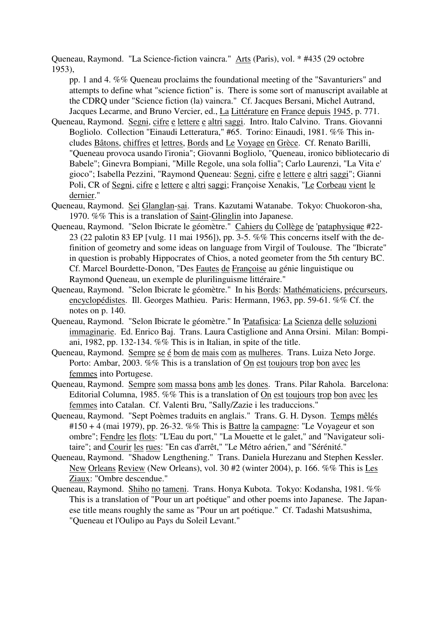Queneau, Raymond. "La Science-fiction vaincra." Arts (Paris), vol. \* #435 (29 octobre 1953),

pp. 1 and 4. %% Queneau proclaims the foundational meeting of the "Savanturiers" and attempts to define what "science fiction" is. There is some sort of manuscript available at the CDRQ under "Science fiction (la) vaincra." Cf. Jacques Bersani, Michel Autrand, Jacques Lecarme, and Bruno Vercier, ed., La Littérature en France depuis 1945, p. 771.

- Queneau, Raymond. Segni, cifre e lettere e altri saggi. Intro. Italo Calvino. Trans. Giovanni Bogliolo. Collection "Einaudi Letteratura," #65. Torino: Einaudi, 1981. %% This includes Bâtons, chiffres et lettres, Bords and Le Voyage en Grèce. Cf. Renato Barilli, "Queneau provoca usando l'ironia"; Giovanni Bogliolo, "Queneau, ironico bibliotecario di Babele"; Ginevra Bompiani, "Mille Regole, una sola follia"; Carlo Laurenzi, "La Vita e' gioco"; Isabella Pezzini, "Raymond Queneau: Segni, cifre e lettere e altri saggi"; Gianni Poli, CR of Segni, cifre e lettere e altri saggi; Françoise Xenakis, "Le Corbeau vient le dernier."
- Queneau, Raymond. Sei Glanglan-sai. Trans. Kazutami Watanabe. Tokyo: Chuokoron-sha, 1970. %% This is a translation of Saint-Glinglin into Japanese.
- Queneau, Raymond. "Selon Ibicrate le géomètre." Cahiers du Collège de 'pataphysique #22- 23 (22 palotin 83 EP [vulg. 11 mai 1956]), pp. 3-5. %% This concerns itself with the definition of geometry and some ideas on language from Virgil of Toulouse. The "Ibicrate" in question is probably Hippocrates of Chios, a noted geometer from the 5th century BC. Cf. Marcel Bourdette-Donon, "Des Fautes de Françoise au génie linguistique ou Raymond Queneau, un exemple de plurilinguisme littéraire."
- Queneau, Raymond. "Selon Ibicrate le géomètre." In his Bords: Mathématiciens, précurseurs, encyclopédistes. Ill. Georges Mathieu. Paris: Hermann, 1963, pp. 59-61. %% Cf. the notes on p. 140.
- Queneau, Raymond. "Selon Ibicrate le géomètre." In 'Patafisica: La Scienza delle soluzioni immaginarie. Ed. Enrico Baj. Trans. Laura Castiglione and Anna Orsini. Milan: Bompiani, 1982, pp. 132-134. %% This is in Italian, in spite of the title.
- Queneau, Raymond. Sempre se é bom de mais com as mulheres. Trans. Luiza Neto Jorge. Porto: Ambar, 2003. %% This is a translation of On est toujours trop bon avec les femmes into Portugese.
- Queneau, Raymond. Sempre som massa bons amb les dones. Trans. Pilar Rahola. Barcelona: Editorial Columna, 1985. %% This is a translation of On est toujours trop bon avec les femmes into Catalan. Cf. Valenti Bru, "Sally/Zazie i les traduccions."
- Queneau, Raymond. "Sept Poèmes traduits en anglais." Trans. G. H. Dyson. Temps mêlés  $\text{\#150 + 4}$  (mai 1979), pp. 26-32. %% This is Battre la campagne: "Le Voyageur et son ombre"; Fendre les flots: "L'Eau du port," "La Mouette et le galet," and "Navigateur solitaire"; and Courir les rues: "En cas d'arrêt," "Le Métro aérien," and "Sérénité."
- Queneau, Raymond. "Shadow Lengthening." Trans. Daniela Hurezanu and Stephen Kessler. New Orleans Review (New Orleans), vol. 30 #2 (winter 2004), p. 166. %% This is Les Ziaux: "Ombre descendue."
- Queneau, Raymond. Shiho no tameni. Trans. Honya Kubota. Tokyo: Kodansha, 1981. %% This is a translation of "Pour un art poétique" and other poems into Japanese. The Japanese title means roughly the same as "Pour un art poétique." Cf. Tadashi Matsushima, "Queneau et l'Oulipo au Pays du Soleil Levant."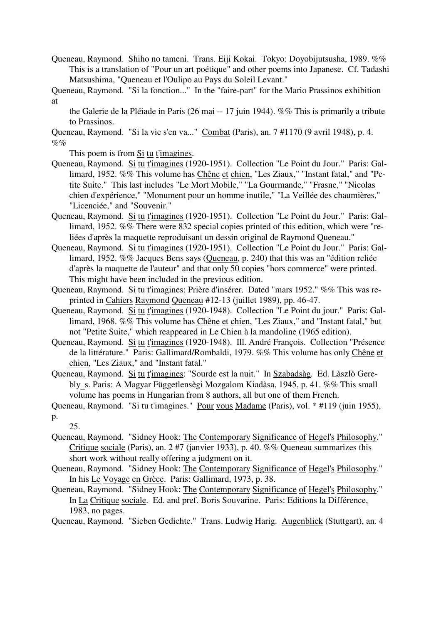- Queneau, Raymond. Shiho no tameni. Trans. Eiji Kokai. Tokyo: Doyobijutsusha, 1989. %% This is a translation of "Pour un art poétique" and other poems into Japanese. Cf. Tadashi Matsushima, "Queneau et l'Oulipo au Pays du Soleil Levant."
- Queneau, Raymond. "Si la fonction..." In the "faire-part" for the Mario Prassinos exhibition at
	- the Galerie de la Pléiade in Paris (26 mai -- 17 juin 1944). %% This is primarily a tribute to Prassinos.
- Queneau, Raymond. "Si la vie s'en va..." Combat (Paris), an. 7 #1170 (9 avril 1948), p. 4.  $\%$ %

This poem is from Si tu t'imagines.

- Queneau, Raymond. Si tu t'imagines (1920-1951). Collection "Le Point du Jour." Paris: Gallimard, 1952. %% This volume has Chêne et chien, "Les Ziaux," "Instant fatal," and "Petite Suite." This last includes "Le Mort Mobile," "La Gourmande," "Frasne," "Nicolas chien d'expérience," "Monument pour un homme inutile," "La Veillée des chaumières," "Licenciée," and "Souvenir."
- Queneau, Raymond. Si tu t'imagines (1920-1951). Collection "Le Point du Jour." Paris: Gallimard, 1952. %% There were 832 special copies printed of this edition, which were "reliées d'après la maquette reproduisant un dessin original de Raymond Queneau."
- Queneau, Raymond. Si tu t'imagines (1920-1951). Collection "Le Point du Jour." Paris: Gallimard, 1952. %% Jacques Bens says (Queneau, p. 240) that this was an "édition reliée d'après la maquette de l'auteur" and that only 50 copies "hors commerce" were printed. This might have been included in the previous edition.
- Queneau, Raymond. Si tu t'imagines: Prière d'insérer. Dated "mars 1952." %% This was reprinted in Cahiers Raymond Queneau #12-13 (juillet 1989), pp. 46-47.
- Queneau, Raymond. Si tu t'imagines (1920-1948). Collection "Le Point du jour." Paris: Gallimard, 1968. %% This volume has Chêne et chien, "Les Ziaux," and "Instant fatal," but not "Petite Suite," which reappeared in Le Chien à la mandoline (1965 edition).
- Queneau, Raymond. Si tu t'imagines (1920-1948). Ill. André François. Collection "Présence de la littérature." Paris: Gallimard/Rombaldi, 1979. %% This volume has only Chêne et chien, "Les Ziaux," and "Instant fatal."
- Queneau, Raymond. Si tu t'imagines: "Sourde est la nuit." In Szabadsàg. Ed. Làszlò Gerebly\_s. Paris: A Magyar Függetlensègi Mozgalom Kiadàsa, 1945, p. 41. %% This small volume has poems in Hungarian from 8 authors, all but one of them French.

25.

- Queneau, Raymond. "Sidney Hook: The Contemporary Significance of Hegel's Philosophy." Critique sociale (Paris), an. 2 #7 (janvier 1933), p. 40. %% Queneau summarizes this short work without really offering a judgment on it.
- Queneau, Raymond. "Sidney Hook: The Contemporary Significance of Hegel's Philosophy." In his Le Voyage en Grèce. Paris: Gallimard, 1973, p. 38.
- Queneau, Raymond. "Sidney Hook: The Contemporary Significance of Hegel's Philosophy." In La Critique sociale. Ed. and pref. Boris Souvarine. Paris: Editions la Différence, 1983, no pages.
- Queneau, Raymond. "Sieben Gedichte." Trans. Ludwig Harig. Augenblick (Stuttgart), an. 4

Queneau, Raymond. "Si tu t'imagines." Pour vous Madame (Paris), vol. \* #119 (juin 1955),

p.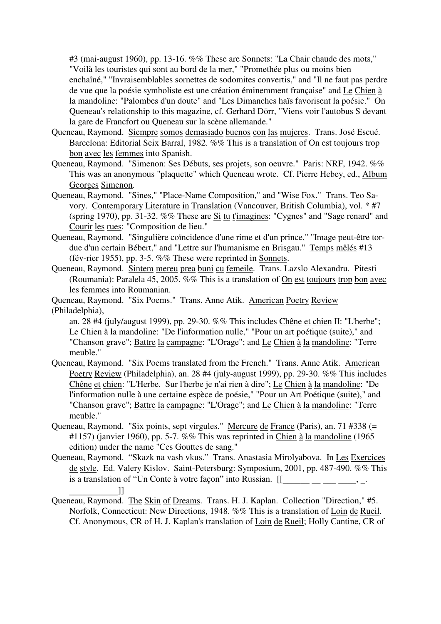#3 (mai-august 1960), pp. 13-16. %% These are Sonnets: "La Chair chaude des mots," "Voilà les touristes qui sont au bord de la mer," "Promethée plus ou moins bien enchaîné," "Invraisemblables sornettes de sodomites convertis," and "Il ne faut pas perdre de vue que la poésie symboliste est une création éminemment française" and Le Chien à la mandoline: "Palombes d'un doute" and "Les Dimanches haïs favorisent la poésie." On Queneau's relationship to this magazine, cf. Gerhard Dörr, "Viens voir l'autobus S devant la gare de Francfort ou Queneau sur la scène allemande."

- Queneau, Raymond. Siempre somos demasiado buenos con las mujeres. Trans. José Escué. Barcelona: Editorial Seix Barral, 1982. %% This is a translation of On est toujours trop bon avec les femmes into Spanish.
- Queneau, Raymond. "Simenon: Ses Débuts, ses projets, son oeuvre." Paris: NRF, 1942. %% This was an anonymous "plaquette" which Queneau wrote. Cf. Pierre Hebey, ed., Album Georges Simenon.
- Queneau, Raymond. "Sines," "Place-Name Composition," and "Wise Fox." Trans. Teo Savory. Contemporary Literature in Translation (Vancouver, British Columbia), vol. \* #7 (spring 1970), pp. 31-32. %% These are Si tu t'imagines: "Cygnes" and "Sage renard" and Courir les rues: "Composition de lieu."
- Queneau, Raymond. "Singulière coïncidence d'une rime et d'un prince," "Image peut-être tordue d'un certain Bébert," and "Lettre sur l'humanisme en Brisgau." Temps mêlés #13 (fév-rier 1955), pp. 3-5. %% These were reprinted in Sonnets.
- Queneau, Raymond. Sintem mereu prea buni cu femeile. Trans. Lazslo Alexandru. Pitesti (Roumania): Paralela 45, 2005. %% This is a translation of On est toujours trop bon avec les femmes into Roumanian.
- Queneau, Raymond. "Six Poems." Trans. Anne Atik. American Poetry Review (Philadelphia),
	- an. 28 #4 (july/august 1999), pp. 29-30. %% This includes Chêne et chien II: "L'herbe"; Le Chien à la mandoline: "De l'information nulle," "Pour un art poétique (suite)," and "Chanson grave"; Battre la campagne: "L'Orage"; and Le Chien à la mandoline: "Terre meuble."
- Queneau, Raymond. "Six Poems translated from the French." Trans. Anne Atik. American Poetry Review (Philadelphia), an. 28 #4 (july-august 1999), pp. 29-30. %% This includes Chêne et chien: "L'Herbe. Sur l'herbe je n'ai rien à dire"; Le Chien à la mandoline: "De l'information nulle à une certaine espèce de poésie," "Pour un Art Poétique (suite)," and "Chanson grave"; Battre la campagne: "L'Orage"; and Le Chien à la mandoline: "Terre meuble."
- Queneau, Raymond. "Six points, sept virgules." Mercure de France (Paris), an. 71 #338 (= #1157) (janvier 1960), pp. 5-7. %% This was reprinted in Chien à la mandoline (1965 edition) under the name "Ces Gouttes de sang."
- Queneau, Raymond. "Skazk na vash vkus." Trans. Anastasia Mirolyabova. In Les Exercices de style. Ed. Valery Kislov. Saint-Petersburg: Symposium, 2001, pp. 487-490. %% This is a translation of "Un Conte à votre façon" into Russian.  $[[$  \_\_\_\_\_\_\_\_\_\_\_\_\_\_\_\_\_\_\_\_\_\_, \_.
- [13]<br>Queneau, Raymond. The Skin of Dreams. Trans. H. J. Kaplan. Collection "Direction," #5. Norfolk, Connecticut: New Directions, 1948. %% This is a translation of Loin de Rueil. Cf. Anonymous, CR of H. J. Kaplan's translation of Loin de Rueil; Holly Cantine, CR of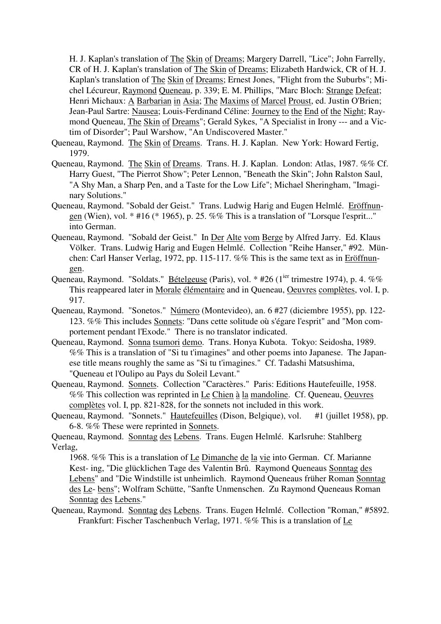H. J. Kaplan's translation of The Skin of Dreams; Margery Darrell, "Lice"; John Farrelly, CR of H. J. Kaplan's translation of The Skin of Dreams; Elizabeth Hardwick, CR of H. J. Kaplan's translation of The Skin of Dreams; Ernest Jones, "Flight from the Suburbs"; Michel Lécureur, Raymond Queneau, p. 339; E. M. Phillips, "Marc Bloch: Strange Defeat; Henri Michaux: A Barbarian in Asia; The Maxims of Marcel Proust, ed. Justin O'Brien; Jean-Paul Sartre: Nausea; Louis-Ferdinand Céline: Journey to the End of the Night; Raymond Queneau, The Skin of Dreams"; Gerald Sykes, "A Specialist in Irony --- and a Victim of Disorder"; Paul Warshow, "An Undiscovered Master."

- Queneau, Raymond. The Skin of Dreams. Trans. H. J. Kaplan. New York: Howard Fertig, 1979.
- Queneau, Raymond. The Skin of Dreams. Trans. H. J. Kaplan. London: Atlas, 1987. %% Cf. Harry Guest, "The Pierrot Show"; Peter Lennon, "Beneath the Skin"; John Ralston Saul, "A Shy Man, a Sharp Pen, and a Taste for the Low Life"; Michael Sheringham, "Imaginary Solutions."
- Queneau, Raymond. "Sobald der Geist." Trans. Ludwig Harig and Eugen Helmlé. Eröffnungen (Wien), vol.  $*$  #16 ( $*$  1965), p. 25. %% This is a translation of "Lorsque l'esprit..." into German.
- Queneau, Raymond. "Sobald der Geist." In Der Alte vom Berge by Alfred Jarry. Ed. Klaus Völker. Trans. Ludwig Harig and Eugen Helmlé. Collection "Reihe Hanser," #92. München: Carl Hanser Verlag, 1972, pp. 115-117. %% This is the same text as in Eröffnungen.
- Queneau, Raymond. "Soldats." **Bételgeuse** (Paris), vol. \* #26 (1<sup>ier</sup> trimestre 1974), p. 4. %% This reappeared later in Morale élémentaire and in Queneau, Oeuvres complètes, vol. I, p. 917.
- Queneau, Raymond. "Sonetos." Número (Montevideo), an. 6 #27 (diciembre 1955), pp. 122- 123. %% This includes Sonnets: "Dans cette solitude où s'égare l'esprit" and "Mon comportement pendant l'Exode." There is no translator indicated.
- Queneau, Raymond. Sonna tsumori demo. Trans. Honya Kubota. Tokyo: Seidosha, 1989. %% This is a translation of "Si tu t'imagines" and other poems into Japanese. The Japanese title means roughly the same as "Si tu t'imagines." Cf. Tadashi Matsushima, "Queneau et l'Oulipo au Pays du Soleil Levant."
- Queneau, Raymond. Sonnets. Collection "Caractères." Paris: Editions Hautefeuille, 1958. %% This collection was reprinted in Le Chien à la mandoline. Cf. Queneau, Oeuvres complètes vol. I, pp. 821-828, for the sonnets not included in this work.
- Queneau, Raymond. "Sonnets." Hautefeuilles (Dison, Belgique), vol. #1 (juillet 1958), pp. 6-8. %% These were reprinted in Sonnets.
- Queneau, Raymond. Sonntag des Lebens. Trans. Eugen Helmlé. Karlsruhe: Stahlberg Verlag,

1968. %% This is a translation of Le Dimanche de la vie into German. Cf. Marianne Kest- ing, "Die glücklichen Tage des Valentin Brû. Raymond Queneaus Sonntag des Lebens" and "Die Windstille ist unheimlich. Raymond Queneaus früher Roman Sonntag des Le- bens"; Wolfram Schütte, "Sanfte Unmenschen. Zu Raymond Queneaus Roman Sonntag des Lebens."

Queneau, Raymond. Sonntag des Lebens. Trans. Eugen Helmlé. Collection "Roman," #5892. Frankfurt: Fischer Taschenbuch Verlag, 1971. %% This is a translation of Le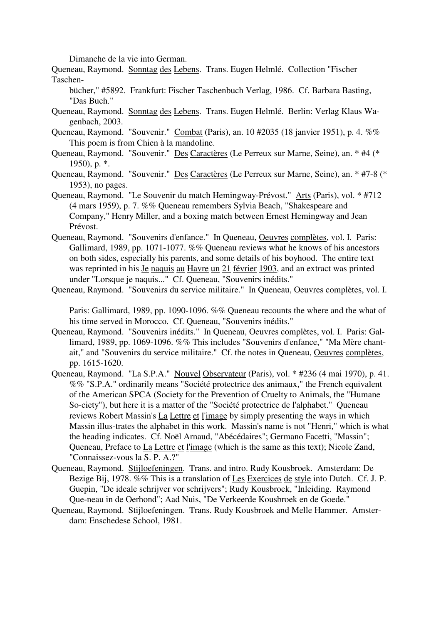Dimanche de la vie into German.

Queneau, Raymond. Sonntag des Lebens. Trans. Eugen Helmlé. Collection "Fischer Taschen-

bücher," #5892. Frankfurt: Fischer Taschenbuch Verlag, 1986. Cf. Barbara Basting, "Das Buch."

- Queneau, Raymond. Sonntag des Lebens. Trans. Eugen Helmlé. Berlin: Verlag Klaus Wagenbach, 2003.
- Queneau, Raymond. "Souvenir." Combat (Paris), an. 10 #2035 (18 janvier 1951), p. 4. %% This poem is from Chien à la mandoline.
- Queneau, Raymond. "Souvenir." Des Caractères (Le Perreux sur Marne, Seine), an. \* #4 (\* 1950), p. \*.
- Queneau, Raymond. "Souvenir." Des Caractères (Le Perreux sur Marne, Seine), an. \* #7-8 (\* 1953), no pages.
- Queneau, Raymond. "Le Souvenir du match Hemingway-Prévost." Arts (Paris), vol. \* #712 (4 mars 1959), p. 7. %% Queneau remembers Sylvia Beach, "Shakespeare and Company," Henry Miller, and a boxing match between Ernest Hemingway and Jean Prévost.
- Queneau, Raymond. "Souvenirs d'enfance." In Queneau, Oeuvres complètes, vol. I. Paris: Gallimard, 1989, pp. 1071-1077. %% Queneau reviews what he knows of his ancestors on both sides, especially his parents, and some details of his boyhood. The entire text was reprinted in his Je naquis au Havre un 21 février 1903, and an extract was printed under "Lorsque je naquis..." Cf. Queneau, "Souvenirs inédits."

Queneau, Raymond. "Souvenirs du service militaire." In Queneau, Oeuvres complètes, vol. I.

Paris: Gallimard, 1989, pp. 1090-1096. %% Queneau recounts the where and the what of his time served in Morocco. Cf. Queneau, "Souvenirs inédits."

- Queneau, Raymond. "Souvenirs inédits." In Queneau, Oeuvres complètes, vol. I. Paris: Gallimard, 1989, pp. 1069-1096. %% This includes "Souvenirs d'enfance," "Ma Mère chantait," and "Souvenirs du service militaire." Cf. the notes in Queneau, Oeuvres complètes, pp. 1615-1620.
- Queneau, Raymond. "La S.P.A." Nouvel Observateur (Paris), vol. \* #236 (4 mai 1970), p. 41. %% "S.P.A." ordinarily means "Société protectrice des animaux," the French equivalent of the American SPCA (Society for the Prevention of Cruelty to Animals, the "Humane So-ciety"), but here it is a matter of the "Société protectrice de l'alphabet." Queneau reviews Robert Massin's La Lettre et l'image by simply presenting the ways in which Massin illus-trates the alphabet in this work. Massin's name is not "Henri," which is what the heading indicates. Cf. Noël Arnaud, "Abécédaires"; Germano Facetti, "Massin"; Queneau, Preface to La Lettre et l'image (which is the same as this text); Nicole Zand, "Connaissez-vous la S. P. A.?"
- Queneau, Raymond. Stijloefeningen. Trans. and intro. Rudy Kousbroek. Amsterdam: De Bezige Bij, 1978. %% This is a translation of Les Exercices de style into Dutch. Cf. J. P. Guepin, "De ideale schrijver vor schrijvers"; Rudy Kousbroek, "Inleiding. Raymond Que-neau in de Oerhond"; Aad Nuis, "De Verkeerde Kousbroek en de Goede."
- Queneau, Raymond. Stijloefeningen. Trans. Rudy Kousbroek and Melle Hammer. Amsterdam: Enschedese School, 1981.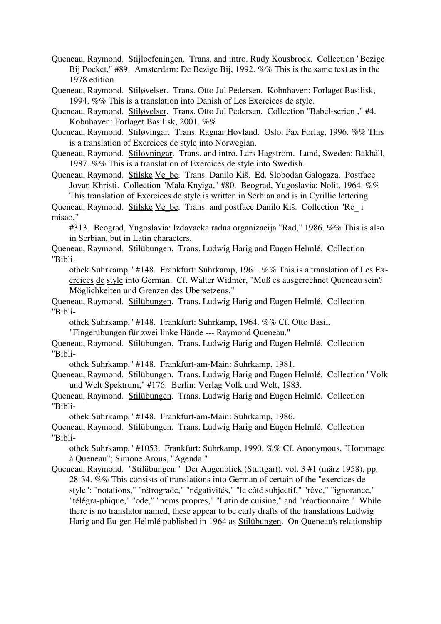Queneau, Raymond. Stijloefeningen. Trans. and intro. Rudy Kousbroek. Collection "Bezige Bij Pocket," #89. Amsterdam: De Bezige Bij, 1992. %% This is the same text as in the 1978 edition.

Queneau, Raymond. Stiløvelser. Trans. Otto Jul Pedersen. Kobnhaven: Forlaget Basilisk, 1994. %% This is a translation into Danish of Les Exercices de style.

Queneau, Raymond. Stiløvelser. Trans. Otto Jul Pedersen. Collection "Babel-serien ," #4. Kobnhaven: Forlaget Basilisk, 2001. %%

Queneau, Raymond. Stiløvingar. Trans. Ragnar Hovland. Oslo: Pax Forlag, 1996. %% This is a translation of Exercices de style into Norwegian.

Queneau, Raymond. Stilövningar. Trans. and intro. Lars Hagström. Lund, Sweden: Bakhåll, 1987. %% This is a translation of Exercices de style into Swedish.

Queneau, Raymond. Stilske Ve\_be. Trans. Danilo Kiš. Ed. Slobodan Galogaza. Postface Jovan Khristi. Collection "Mala Knyiga," #80. Beograd, Yugoslavia: Nolit, 1964. %% This translation of Exercices de style is written in Serbian and is in Cyrillic lettering.

Queneau, Raymond. Stilske Ve\_be. Trans. and postface Danilo Kiš. Collection "Re\_<sup>i</sup> misao,"

#313. Beograd, Yugoslavia: Izdavacka radna organizacija "Rad," 1986. %% This is also in Serbian, but in Latin characters.

Queneau, Raymond. Stilübungen. Trans. Ludwig Harig and Eugen Helmlé. Collection "Bibli-

othek Suhrkamp," #148. Frankfurt: Suhrkamp, 1961. %% This is a translation of Les Exercices de style into German. Cf. Walter Widmer, "Muß es ausgerechnet Queneau sein? Möglichkeiten und Grenzen des Ubersetzens."

Queneau, Raymond. Stilübungen. Trans. Ludwig Harig and Eugen Helmlé. Collection "Bibli-

othek Suhrkamp," #148. Frankfurt: Suhrkamp, 1964. %% Cf. Otto Basil,

"Fingerübungen für zwei linke Hände --- Raymond Queneau."

Queneau, Raymond. Stilübungen. Trans. Ludwig Harig and Eugen Helmlé. Collection "Bibli-

othek Suhrkamp," #148. Frankfurt-am-Main: Suhrkamp, 1981.

Queneau, Raymond. Stilübungen. Trans. Ludwig Harig and Eugen Helmlé. Collection "Volk und Welt Spektrum," #176. Berlin: Verlag Volk und Welt, 1983.

Queneau, Raymond. Stilübungen. Trans. Ludwig Harig and Eugen Helmlé. Collection "Bibli-

othek Suhrkamp," #148. Frankfurt-am-Main: Suhrkamp, 1986.

Queneau, Raymond. Stilübungen. Trans. Ludwig Harig and Eugen Helmlé. Collection "Bibli-

othek Suhrkamp," #1053. Frankfurt: Suhrkamp, 1990. %% Cf. Anonymous, "Hommage à Queneau"; Simone Arous, "Agenda."

Queneau, Raymond. "Stilübungen." Der Augenblick (Stuttgart), vol. 3 #1 (märz 1958), pp. 28-34. %% This consists of translations into German of certain of the "exercices de style": "notations," "rétrograde," "négativités," "le côté subjectif," "rêve," "ignorance," "télégra-phique," "ode," "noms propres," "Latin de cuisine," and "réactionnaire." While there is no translator named, these appear to be early drafts of the translations Ludwig Harig and Eu-gen Helmlé published in 1964 as Stilübungen. On Queneau's relationship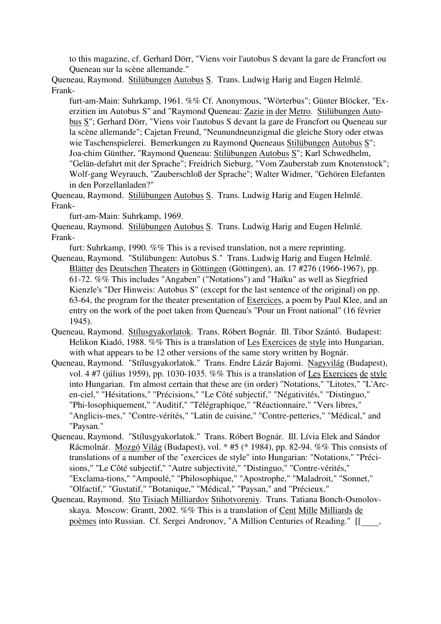to this magazine, cf. Gerhard Dörr, "Viens voir l'autobus S devant la gare de Francfort ou Queneau sur la scène allemande."

Queneau, Raymond. Stilübungen Autobus S. Trans. Ludwig Harig and Eugen Helmlé. Frank-

furt-am-Main: Suhrkamp, 1961. %% Cf. Anonymous, "Wörterbus"; Günter Blöcker, "Exerzitien im Autobus S" and "Raymond Queneau: Zazie in der Metro. Stilübungen Autobus S"; Gerhard Dörr, "Viens voir l'autobus S devant la gare de Francfort ou Queneau sur la scène allemande"; Cajetan Freund, "Neunundneunzigmal die gleiche Story oder etwas wie Taschenspielerei. Bemerkungen zu Raymond Queneaus Stilübungen Autobus S"; Joa-chim Günther, "Raymond Queneau: Stilübungen Autobus S"; Karl Schwedhelm, "Gelän-defahrt mit der Sprache"; Freidrich Sieburg, "Vom Zauberstab zum Knotenstock"; Wolf-gang Weyrauch, "Zauberschloß der Sprache"; Walter Widmer, "Gehören Elefanten in den Porzellanladen?"

Queneau, Raymond. Stilübungen Autobus S. Trans. Ludwig Harig and Eugen Helmlé. Frank-

furt-am-Main: Suhrkamp, 1969.

Queneau, Raymond. Stilübungen Autobus S. Trans. Ludwig Harig and Eugen Helmlé. Frank-

furt: Suhrkamp, 1990. %% This is a revised translation, not a mere reprinting.

- Queneau, Raymond. "Stilübungen: Autobus S." Trans. Ludwig Harig and Eugen Helmlé. Blätter des Deutschen Theaters in Göttingen (Göttingen), an. 17 #276 (1966-1967), pp. 61-72. %% This includes "Angaben" ("Notations") and "Haïku" as well as Siegfried Kienzle's "Der Hinweis: Autobus S" (except for the last sentence of the original) on pp. 63-64, the program for the theater presentation of Exercices, a poem by Paul Klee, and an entry on the work of the poet taken from Queneau's "Pour un Front national" (16 février 1945).
- Queneau, Raymond. Stílusgyakorlatok. Trans. Róbert Bognár. Ill. Tibor Szántó. Budapest: Helikon Kiadó, 1988. %% This is a translation of Les Exercices de style into Hungarian, with what appears to be 12 other versions of the same story written by Bognár.
- Queneau, Raymond. "Stílusgyakorlatok." Trans. Endre Lázár Bajomi. Nagyvilág (Budapest), vol. 4 #7 (július 1959), pp. 1030-1035. %% This is a translation of Les Exercices de style into Hungarian. I'm almost certain that these are (in order) "Notations," "Litotes," "L'Arcen-ciel," "Hésitations," "Précisions," "Le Côté subjectif," "Négativités," "Distinguo," "Phi-losophiquement," "Auditif," "Télégraphique," "Réactionnaire," "Vers libres," "Anglicis-mes," "Contre-vérités," "Latin de cuisine," "Contre-petteries," "Médical," and "Paysan."
- Queneau, Raymond. "Stílusgyakorlatok." Trans. Róbert Bognár. Ill. Lívia Elek and Sándor Rácmolnár. Mozgó Világ (Budapest), vol. \* #5 (\* 1984), pp. 82-94. %% This consists of translations of a number of the "exercices de style" into Hungarian: "Notations," "Précisions," "Le Côté subjectif," "Autre subjectivité," "Distinguo," "Contre-vérités," "Exclama-tions," "Ampoulé," "Philosophique," "Apostrophe," "Maladroit," "Sonnet," "Olfactif," "Gustatif," "Botanique," "Médical," "Paysan," and "Précieux."
- Queneau, Raymond. Sto Tisiach Milliardov Stihotvoreniy. Trans. Tatiana Bonch-Osmolovskaya. Moscow: Grantt, 2002. %% This is a translation of Cent Mille Milliards de poèmes into Russian. Cf. Sergei Andronov, "A Million Centuries of Reading." [[\_\_\_\_,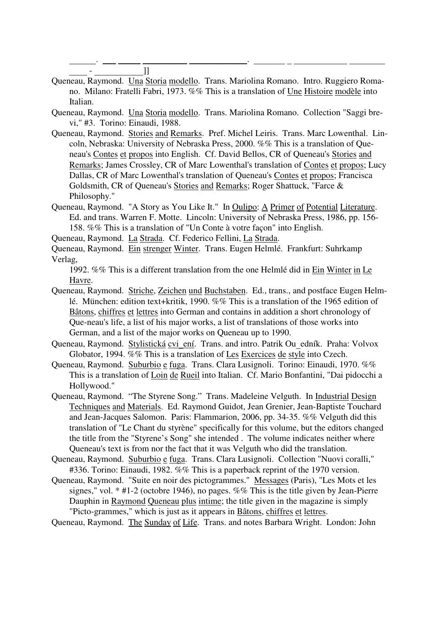\_\_\_\_\_\_. \_\_\_ \_\_\_\_\_ \_\_\_\_\_\_\_\_\_\_ \_\_\_\_\_\_\_\_\_\_\_\_\_. \_\_\_\_\_\_\_ \_ \_\_\_\_\_\_\_\_\_\_\_\_ \_\_\_\_\_\_\_\_

- \_\_\_\_ \_\_\_\_\_\_\_\_\_\_\_]] Queneau, Raymond. Una Storia modello. Trans. Mariolina Romano. Intro. Ruggiero Romano. Milano: Fratelli Fabri, 1973. %% This is a translation of Une Histoire modèle into Italian.
- Queneau, Raymond. Una Storia modello. Trans. Mariolina Romano. Collection "Saggi brevi," #3. Torino: Einaudi, 1988.
- Queneau, Raymond. Stories and Remarks. Pref. Michel Leiris. Trans. Marc Lowenthal. Lincoln, Nebraska: University of Nebraska Press, 2000. %% This is a translation of Queneau's Contes et propos into English. Cf. David Bellos, CR of Queneau's Stories and Remarks; James Crossley, CR of Marc Lowenthal's translation of Contes et propos; Lucy Dallas, CR of Marc Lowenthal's translation of Queneau's Contes et propos; Francisca Goldsmith, CR of Queneau's Stories and Remarks; Roger Shattuck, "Farce & Philosophy."
- Queneau, Raymond. "A Story as You Like It." In Oulipo: A Primer of Potential Literature. Ed. and trans. Warren F. Motte. Lincoln: University of Nebraska Press, 1986, pp. 156- 158. %% This is a translation of "Un Conte à votre façon" into English.
- Queneau, Raymond. La Strada. Cf. Federico Fellini, La Strada.
- Queneau, Raymond. Ein strenger Winter. Trans. Eugen Helmlé. Frankfurt: Suhrkamp Verlag,

1992. %% This is a different translation from the one Helmlé did in Ein Winter in Le Havre.

- Queneau, Raymond. Striche, Zeichen und Buchstaben. Ed., trans., and postface Eugen Helmlé. München: edition text+kritik, 1990. %% This is a translation of the 1965 edition of Bâtons, chiffres et lettres into German and contains in addition a short chronology of Que-neau's life, a list of his major works, a list of translations of those works into German, and a list of the major works on Queneau up to 1990.
- Queneau, Raymond. Stylistická cvi ení. Trans. and intro. Patrik Ou edník. Praha: Volvox Globator, 1994. %% This is a translation of Les Exercices de style into Czech.
- Queneau, Raymond. Suburbio e fuga. Trans. Clara Lusignoli. Torino: Einaudi, 1970. %% This is a translation of Loin de Rueil into Italian. Cf. Mario Bonfantini, "Dai pidocchi a Hollywood."
- Queneau, Raymond. "The Styrene Song." Trans. Madeleine Velguth. In Industrial Design Techniques and Materials. Ed. Raymond Guidot, Jean Grenier, Jean-Baptiste Touchard and Jean-Jacques Salomon. Paris: Flammarion, 2006, pp. 34-35. %% Velguth did this translation of "Le Chant du styrène" specifically for this volume, but the editors changed the title from the "Styrene's Song" she intended . The volume indicates neither where Queneau's text is from nor the fact that it was Velguth who did the translation.
- Queneau, Raymond. Suburbio e fuga. Trans. Clara Lusignoli. Collection "Nuovi coralli," #336. Torino: Einaudi, 1982. %% This is a paperback reprint of the 1970 version.
- Queneau, Raymond. "Suite en noir des pictogrammes." Messages (Paris), "Les Mots et les signes," vol.  $*$  #1-2 (octobre 1946), no pages. %% This is the title given by Jean-Pierre Dauphin in Raymond Queneau plus intime; the title given in the magazine is simply "Picto-grammes," which is just as it appears in Bâtons, chiffres et lettres.

Queneau, Raymond. The Sunday of Life. Trans. and notes Barbara Wright. London: John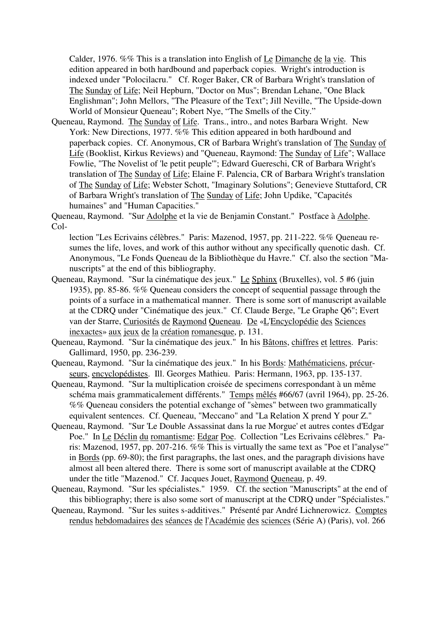Calder, 1976. %% This is a translation into English of Le Dimanche de la vie. This edition appeared in both hardbound and paperback copies. Wright's introduction is indexed under "Polocilacru." Cf. Roger Baker, CR of Barbara Wright's translation of The Sunday of Life; Neil Hepburn, "Doctor on Mus"; Brendan Lehane, "One Black Englishman"; John Mellors, "The Pleasure of the Text"; Jill Neville, "The Upside-down World of Monsieur Queneau"; Robert Nye, "The Smells of the City."

Queneau, Raymond. The Sunday of Life. Trans., intro., and notes Barbara Wright. New York: New Directions, 1977. %% This edition appeared in both hardbound and paperback copies. Cf. Anonymous, CR of Barbara Wright's translation of The Sunday of Life (Booklist, Kirkus Reviews) and "Queneau, Raymond: The Sunday of Life"; Wallace Fowlie, "The Novelist of 'le petit peuple'"; Edward Guereschi, CR of Barbara Wright's translation of The Sunday of Life; Elaine F. Palencia, CR of Barbara Wright's translation of The Sunday of Life; Webster Schott, "Imaginary Solutions"; Genevieve Stuttaford, CR of Barbara Wright's translation of The Sunday of Life; John Updike, "Capacités humaines" and "Human Capacities."

Queneau, Raymond. "Sur Adolphe et la vie de Benjamin Constant." Postface à Adolphe. Col-

lection "Les Ecrivains célèbres." Paris: Mazenod, 1957, pp. 211-222. %% Queneau resumes the life, loves, and work of this author without any specifically quenotic dash. Cf. Anonymous, "Le Fonds Queneau de la Bibliothèque du Havre." Cf. also the section "Manuscripts" at the end of this bibliography.

- Queneau, Raymond. "Sur la cinématique des jeux." Le Sphinx (Bruxelles), vol. 5 #6 (juin 1935), pp. 85-86. %% Queneau considers the concept of sequential passage through the points of a surface in a mathematical manner. There is some sort of manuscript available at the CDRQ under "Cinématique des jeux." Cf. Claude Berge, "Le Graphe Q6"; Evert van der Starre, Curiosités de Raymond Queneau. De «L'Encyclopédie des Sciences inexactes» aux jeux de la création romanesque, p. 131.
- Queneau, Raymond. "Sur la cinématique des jeux." In his Bâtons, chiffres et lettres. Paris: Gallimard, 1950, pp. 236-239.
- Queneau, Raymond. "Sur la cinématique des jeux." In his Bords: Mathématiciens, précurseurs, encyclopédistes. Ill. Georges Mathieu. Paris: Hermann, 1963, pp. 135-137.
- Queneau, Raymond. "Sur la multiplication croisée de specimens correspondant à un même schéma mais grammaticalement différents." Temps mêlés #66/67 (avril 1964), pp. 25-26. %% Queneau considers the potential exchange of "sèmes" between two grammatically equivalent sentences. Cf. Queneau, "Meccano" and "La Relation X prend Y pour Z."
- Queneau, Raymond. "Sur 'Le Double Assassinat dans la rue Morgue' et autres contes d'Edgar Poe." In Le Déclin du romantisme: Edgar Poe. Collection "Les Ecrivains célèbres." Paris: Mazenod, 1957, pp. 207-216. %% This is virtually the same text as "Poe et l''analyse'" in Bords (pp. 69-80); the first paragraphs, the last ones, and the paragraph divisions have almost all been altered there. There is some sort of manuscript available at the CDRQ under the title "Mazenod." Cf. Jacques Jouet, Raymond Queneau, p. 49.
- Queneau, Raymond. "Sur les spécialistes." 1959. Cf. the section "Manuscripts" at the end of this bibliography; there is also some sort of manuscript at the CDRQ under "Spécialistes."
- Queneau, Raymond. "Sur les suites s-additives." Présenté par André Lichnerowicz. Comptes rendus hebdomadaires des séances de l'Académie des sciences (Série A) (Paris), vol. 266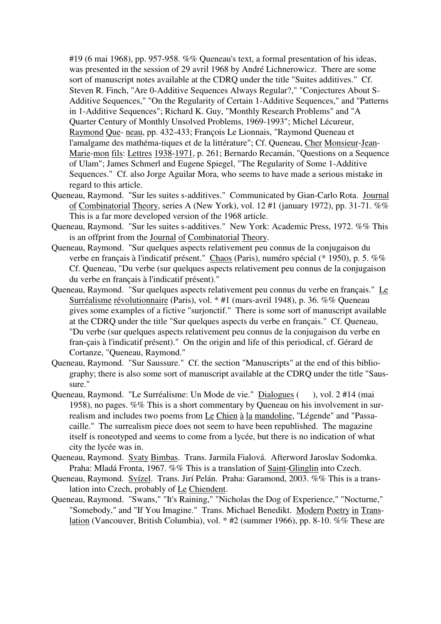#19 (6 mai 1968), pp. 957-958. %% Queneau's text, a formal presentation of his ideas, was presented in the session of 29 avril 1968 by André Lichnerowicz. There are some sort of manuscript notes available at the CDRQ under the title "Suites additives." Cf. Steven R. Finch, "Are 0-Additive Sequences Always Regular?," "Conjectures About S-Additive Sequences," "On the Regularity of Certain 1-Additive Sequences," and "Patterns in 1-Additive Sequences"; Richard K. Guy, "Monthly Research Problems" and "A Quarter Century of Monthly Unsolved Problems, 1969-1993"; Michel Lécureur, Raymond Que- neau, pp. 432-433; François Le Lionnais, "Raymond Queneau et l'amalgame des mathéma-tiques et de la littérature"; Cf. Queneau, Cher Monsieur-Jean-Marie-mon fils: Lettres 1938-1971, p. 261; Bernardo Recamán, "Questions on a Sequence of Ulam"; James Schmerl and Eugene Spiegel, "The Regularity of Some 1-Additive Sequences." Cf. also Jorge Aguilar Mora, who seems to have made a serious mistake in regard to this article.

- Queneau, Raymond. "Sur les suites s-additives." Communicated by Gian-Carlo Rota. Journal of Combinatorial Theory, series A (New York), vol. 12 #1 (january 1972), pp. 31-71. %% This is a far more developed version of the 1968 article.
- Queneau, Raymond. "Sur les suites s-additives." New York: Academic Press, 1972. %% This is an offprint from the Journal of Combinatorial Theory.
- Queneau, Raymond. "Sur quelques aspects relativement peu connus de la conjugaison du verbe en français à l'indicatif présent." Chaos (Paris), numéro spécial (\* 1950), p. 5. %% Cf. Queneau, "Du verbe (sur quelques aspects relativement peu connus de la conjugaison du verbe en français à l'indicatif présent)."
- Queneau, Raymond. "Sur quelques aspects relativement peu connus du verbe en français." Le Surréalisme révolutionnaire (Paris), vol. \* #1 (mars-avril 1948), p. 36. %% Queneau gives some examples of a fictive "surjonctif." There is some sort of manuscript available at the CDRQ under the title "Sur quelques aspects du verbe en français." Cf. Queneau, "Du verbe (sur quelques aspects relativement peu connus de la conjugaison du verbe en fran-çais à l'indicatif présent)." On the origin and life of this periodical, cf. Gérard de Cortanze, "Queneau, Raymond."
- Queneau, Raymond. "Sur Saussure." Cf. the section "Manuscripts" at the end of this bibliography; there is also some sort of manuscript available at the CDRQ under the title "Saussure."
- Queneau, Raymond. "Le Surréalisme: Un Mode de vie." Dialogues (), vol. 2 #14 (mai 1958), no pages. %% This is a short commentary by Queneau on his involvement in surrealism and includes two poems from Le Chien à la mandoline, "Légende" and "Passacaille." The surrealism piece does not seem to have been republished. The magazine itself is roneotyped and seems to come from a lycée, but there is no indication of what city the lycée was in.
- Queneau, Raymond. Svaty Bimbas. Trans. Jarmila Fialová. Afterword Jaroslav Sodomka. Praha: Mladá Fronta, 1967. %% This is a translation of Saint-Glinglin into Czech.
- Queneau, Raymond. Svízel. Trans. Jirí Pelán. Praha: Garamond, 2003. %% This is a translation into Czech, probably of Le Chiendent.
- Queneau, Raymond. "Swans," "It's Raining," "Nicholas the Dog of Experience," "Nocturne," "Somebody," and "If You Imagine." Trans. Michael Benedikt. Modern Poetry in Translation (Vancouver, British Columbia), vol. \* #2 (summer 1966), pp. 8-10. %% These are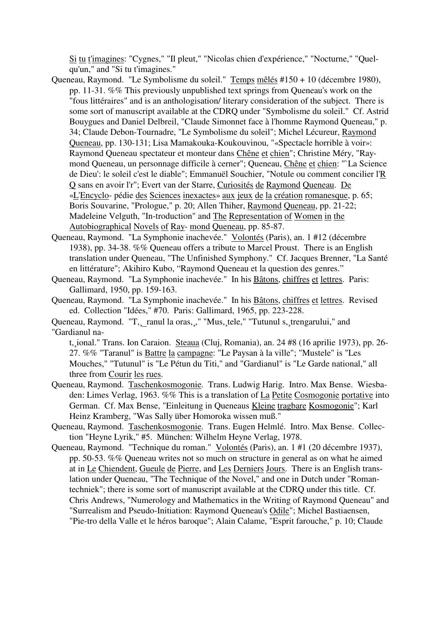Si tu t'imagines: "Cygnes," "Il pleut," "Nicolas chien d'expérience," "Nocturne," "Quelqu'un," and "Si tu t'imagines."

- Queneau, Raymond. "Le Symbolisme du soleil." Temps mêlés #150 + 10 (décembre 1980), pp. 11-31. %% This previously unpublished text springs from Queneau's work on the "fous littéraires" and is an anthologisation/ literary consideration of the subject. There is some sort of manuscript available at the CDRQ under "Symbolisme du soleil." Cf. Astrid Bouygues and Daniel Delbreil, "Claude Simonnet face à l'homme Raymond Queneau," p. 34; Claude Debon-Tournadre, "Le Symbolisme du soleil"; Michel Lécureur, Raymond Queneau, pp. 130-131; Lisa Mamakouka-Koukouvinou, "«Spectacle horrible à voir»: Raymond Queneau spectateur et monteur dans Chêne et chien"; Christine Méry, "Raymond Queneau, un personnage difficile à cerner"; Queneau, Chêne et chien: "`La Science de Dieu': le soleil c'est le diable"; Emmanuël Souchier, "Notule ou comment concilier l'R Q sans en avoir l'r"; Evert van der Starre, Curiosités de Raymond Queneau. De «L'Encyclo- pédie des Sciences inexactes» aux jeux de la création romanesque, p. 65; Boris Souvarine, "Prologue," p. 20; Allen Thiher, Raymond Queneau, pp. 21-22; Madeleine Velguth, "In-troduction" and The Representation of Women in the Autobiographical Novels of Ray- mond Queneau, pp. 85-87.
- Queneau, Raymond. "La Symphonie inachevée." Volontés (Paris), an. 1 #12 (décembre 1938), pp. 34-38. %% Queneau offers a tribute to Marcel Proust. There is an English translation under Queneau, "The Unfinished Symphony." Cf. Jacques Brenner, "La Santé en littérature"; Akihiro Kubo, "Raymond Queneau et la question des genres."

Queneau, Raymond. "La Symphonie inachevée." In his Bâtons, chiffres et lettres. Paris: Gallimard, 1950, pp. 159-163.

Queneau, Raymond. "La Symphonie inachevée." In his Bâtons, chiffres et lettres. Revised ed. Collection "Idées," #70. Paris: Gallimard, 1965, pp. 223-228.

Queneau, Raymond. "T, ranul la oras, vertilary "Mus, tele," "Tutunul s, trengarului," and "Gardianul na-

t, ional." Trans. Ion Caraion. Steaua (Cluj, Romania), an. 24 #8 (16 aprilie 1973), pp. 26-27. %% "Taranul" is Battre la campagne: "Le Paysan à la ville"; "Mustele" is "Les Mouches," "Tutunul" is "Le Pétun du Titi," and "Gardianul" is "Le Garde national," all three from Courir les rues.

- Queneau, Raymond. Taschenkosmogonie. Trans. Ludwig Harig. Intro. Max Bense. Wiesbaden: Limes Verlag, 1963. %% This is a translation of La Petite Cosmogonie portative into German. Cf. Max Bense, "Einleitung in Queneaus Kleine tragbare Kosmogonie"; Karl Heinz Kramberg, "Was Sally über Homoroka wissen muß."
- Queneau, Raymond. Taschenkosmogonie. Trans. Eugen Helmlé. Intro. Max Bense. Collection "Heyne Lyrik," #5. München: Wilhelm Heyne Verlag, 1978.
- Queneau, Raymond. "Technique du roman." Volontés (Paris), an. 1 #1 (20 décembre 1937), pp. 50-53. %% Queneau writes not so much on structure in general as on what he aimed at in Le Chiendent, Gueule de Pierre, and Les Derniers Jours. There is an English translation under Queneau, "The Technique of the Novel," and one in Dutch under "Romantechniek"; there is some sort of manuscript available at the CDRQ under this title. Cf. Chris Andrews, "Numerology and Mathematics in the Writing of Raymond Queneau" and "Surrealism and Pseudo-Initiation: Raymond Queneau's Odile"; Michel Bastiaensen, "Pie-tro della Valle et le héros baroque"; Alain Calame, "Esprit farouche," p. 10; Claude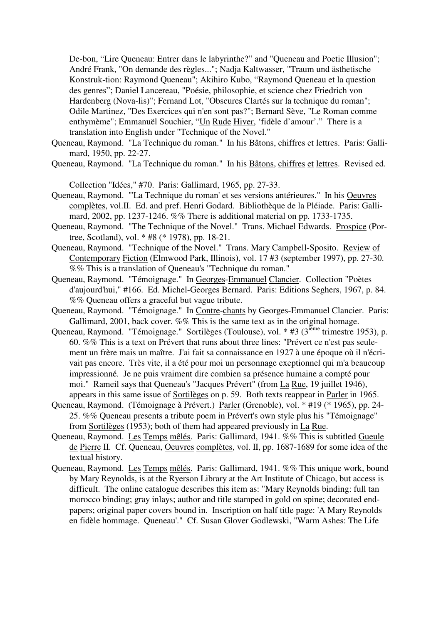De-bon, "Lire Queneau: Entrer dans le labyrinthe?" and "Queneau and Poetic Illusion"; André Frank, "On demande des règles..."; Nadja Kaltwasser, "Traum und ästhetische Konstruk-tion: Raymond Queneau"; Akihiro Kubo, "Raymond Queneau et la question des genres"; Daniel Lancereau, "Poésie, philosophie, et science chez Friedrich von Hardenberg (Nova-lis)"; Fernand Lot, "Obscures Clartés sur la technique du roman"; Odile Martinez, "Des Exercices qui n'en sont pas?"; Bernard Sève, "Le Roman comme enthymème"; Emmanuël Souchier, "Un Rude Hiver, 'fidèle d'amour'." There is a translation into English under "Technique of the Novel."

- Queneau, Raymond. "La Technique du roman." In his Bâtons, chiffres et lettres. Paris: Gallimard, 1950, pp. 22-27.
- Queneau, Raymond. "La Technique du roman." In his Bâtons, chiffres et lettres. Revised ed.

Collection "Idées," #70. Paris: Gallimard, 1965, pp. 27-33.

- Queneau, Raymond. "'La Technique du roman' et ses versions antérieures." In his Oeuvres complètes, vol.II. Ed. and pref. Henri Godard. Bibliothèque de la Pléiade. Paris: Gallimard, 2002, pp. 1237-1246. %% There is additional material on pp. 1733-1735.
- Queneau, Raymond. "The Technique of the Novel." Trans. Michael Edwards. Prospice (Portree, Scotland), vol. \* #8 (\* 1978), pp. 18-21.
- Queneau, Raymond. "Technique of the Novel." Trans. Mary Campbell-Sposito. Review of Contemporary Fiction (Elmwood Park, Illinois), vol. 17 #3 (september 1997), pp. 27-30. %% This is a translation of Queneau's "Technique du roman."
- Queneau, Raymond. "Témoignage." In Georges-Emmanuel Clancier. Collection "Poètes d'aujourd'hui," #166. Ed. Michel-Georges Bernard. Paris: Editions Seghers, 1967, p. 84. %% Queneau offers a graceful but vague tribute.
- Queneau, Raymond. "Témoignage." In Contre-chants by Georges-Emmanuel Clancier. Paris: Gallimard, 2001, back cover. %% This is the same text as in the original homage.
- Queneau, Raymond. "Témoignage." Sortilèges (Toulouse), vol. \* #3 (3<sup>ième</sup> trimestre 1953), p. 60. %% This is a text on Prévert that runs about three lines: "Prévert ce n'est pas seulement un frère mais un maître. J'ai fait sa connaissance en 1927 à une époque où il n'écrivait pas encore. Très vite, il a été pour moi un personnage exeptionnel qui m'a beaucoup impressionné. Je ne puis vraiment dire combien sa présence humaine a compté pour moi." Rameil says that Queneau's "Jacques Prévert" (from La Rue, 19 juillet 1946), appears in this same issue of Sortilèges on p. 59. Both texts reappear in Parler in 1965.
- Queneau, Raymond. (Témoignage à Prévert.) Parler (Grenoble), vol. \* #19 (\* 1965), pp. 24- 25. %% Queneau presents a tribute poem in Prévert's own style plus his "Témoignage" from Sortilèges (1953); both of them had appeared previously in La Rue.
- Queneau, Raymond. Les Temps mêlés. Paris: Gallimard, 1941. %% This is subtitled Gueule de Pierre II. Cf. Queneau, Oeuvres complètes, vol. II, pp. 1687-1689 for some idea of the textual history.
- Queneau, Raymond. Les Temps mêlés. Paris: Gallimard, 1941. %% This unique work, bound by Mary Reynolds, is at the Ryerson Library at the Art Institute of Chicago, but access is difficult. The online catalogue describes this item as: "Mary Reynolds binding: full tan morocco binding; gray inlays; author and title stamped in gold on spine; decorated endpapers; original paper covers bound in. Inscription on half title page: 'A Mary Reynolds en fidèle hommage. Queneau'." Cf. Susan Glover Godlewski, "Warm Ashes: The Life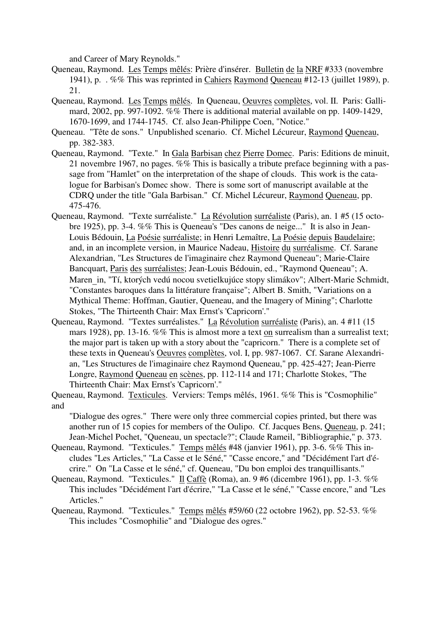and Career of Mary Reynolds."

- Queneau, Raymond. Les Temps mêlés: Prière d'insérer. Bulletin de la NRF #333 (novembre 1941), p. . %% This was reprinted in Cahiers Raymond Queneau #12-13 (juillet 1989), p. 21.
- Queneau, Raymond. Les Temps mêlés. In Queneau, Oeuvres complètes, vol. II. Paris: Gallimard, 2002, pp. 997-1092. %% There is additional material available on pp. 1409-1429, 1670-1699, and 1744-1745. Cf. also Jean-Philippe Coen, "Notice."
- Queneau. "Tête de sons." Unpublished scenario. Cf. Michel Lécureur, Raymond Queneau, pp. 382-383.
- Queneau, Raymond. "Texte." In Gala Barbisan chez Pierre Domec. Paris: Editions de minuit, 21 novembre 1967, no pages. %% This is basically a tribute preface beginning with a passage from "Hamlet" on the interpretation of the shape of clouds. This work is the catalogue for Barbisan's Domec show. There is some sort of manuscript available at the CDRQ under the title "Gala Barbisan." Cf. Michel Lécureur, Raymond Queneau, pp. 475-476.
- Queneau, Raymond. "Texte surréaliste." La Révolution surréaliste (Paris), an. 1 #5 (15 octobre 1925), pp. 3-4. %% This is Queneau's "Des canons de neige..." It is also in Jean-Louis Bédouin, La Poésie surréaliste; in Henri Lemaître, La Poésie depuis Baudelaire; and, in an incomplete version, in Maurice Nadeau, Histoire du surréalisme. Cf. Sarane Alexandrian, "Les Structures de l'imaginaire chez Raymond Queneau"; Marie-Claire Bancquart, Paris des surréalistes; Jean-Louis Bédouin, ed., "Raymond Queneau"; A. Maren in, "Tí, ktorých vedú nocou svetielkujúce stopy slimákov"; Albert-Marie Schmidt, "Constantes baroques dans la littérature française"; Albert B. Smith, "Variations on a Mythical Theme: Hoffman, Gautier, Queneau, and the Imagery of Mining"; Charlotte Stokes, "The Thirteenth Chair: Max Ernst's 'Capricorn'."
- Queneau, Raymond. "Textes surréalistes." La Révolution surréaliste (Paris), an. 4 #11 (15 mars 1928), pp. 13-16. %% This is almost more a text on surrealism than a surrealist text; the major part is taken up with a story about the "capricorn." There is a complete set of these texts in Queneau's Oeuvres complètes, vol. I, pp. 987-1067. Cf. Sarane Alexandrian, "Les Structures de l'imaginaire chez Raymond Queneau," pp. 425-427; Jean-Pierre Longre, Raymond Queneau en scènes, pp. 112-114 and 171; Charlotte Stokes, "The Thirteenth Chair: Max Ernst's 'Capricorn'."
- Queneau, Raymond. Texticules. Verviers: Temps mêlés, 1961. %% This is "Cosmophilie" and

"Dialogue des ogres." There were only three commercial copies printed, but there was another run of 15 copies for members of the Oulipo. Cf. Jacques Bens, Queneau, p. 241; Jean-Michel Pochet, "Queneau, un spectacle?"; Claude Rameil, "Bibliographie," p. 373.

- Queneau, Raymond. "Texticules." Temps mêlés #48 (janvier 1961), pp. 3-6. %% This includes "Les Articles," "La Casse et le Séné," "Casse encore," and "Décidément l'art d'écrire." On "La Casse et le séné," cf. Queneau, "Du bon emploi des tranquillisants."
- Queneau, Raymond. "Texticules." Il Caffè (Roma), an. 9 #6 (dicembre 1961), pp. 1-3. %% This includes "Décidément l'art d'écrire," "La Casse et le séné," "Casse encore," and "Les Articles."
- Queneau, Raymond. "Texticules." Temps mêlés #59/60 (22 octobre 1962), pp. 52-53. %% This includes "Cosmophilie" and "Dialogue des ogres."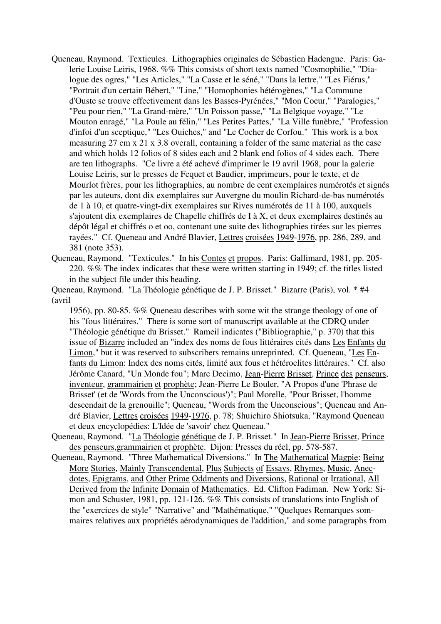- Queneau, Raymond. Texticules. Lithographies originales de Sébastien Hadengue. Paris: Galerie Louise Leiris, 1968. %% This consists of short texts named "Cosmophilie," "Dialogue des ogres," "Les Articles," "La Casse et le séné," "Dans la lettre," "Les Fiérus," "Portrait d'un certain Bébert," "Line," "Homophonies hétérogènes," "La Commune d'Ouste se trouve effectivement dans les Basses-Pyrénées," "Mon Coeur," "Paralogies," "Peu pour rien," "La Grand-mère," "Un Poisson passe," "La Belgique voyage," "Le Mouton enragé," "La Poule au félin," "Les Petites Pattes," "La Ville funèbre," "Profession d'infoi d'un sceptique," "Les Ouiches," and "Le Cocher de Corfou." This work is a box measuring 27 cm x 21 x 3.8 overall, containing a folder of the same material as the case and which holds 12 folios of 8 sides each and 2 blank end folios of 4 sides each. There are ten lithographs. "Ce livre a été achevé d'imprimer le 19 avril 1968, pour la galerie Louise Leiris, sur le presses de Fequet et Baudier, imprimeurs, pour le texte, et de Mourlot frères, pour les lithographies, au nombre de cent exemplaires numérotés et signés par les auteurs, dont dix exemplaires sur Auvergne du moulin Richard-de-bas numérotés de 1 à 10, et quatre-vingt-dix exemplaires sur Rives numérotés de 11 à 100, auxquels s'ajoutent dix exemplaires de Chapelle chiffrés de I à X, et deux exemplaires destinés au dépôt légal et chiffrés o et oo, contenant une suite des lithographies tirées sur les pierres rayées." Cf. Queneau and André Blavier, Lettres croisées 1949-1976, pp. 286, 289, and 381 (note 353).
- Queneau, Raymond. "Texticules." In his Contes et propos. Paris: Gallimard, 1981, pp. 205- 220. %% The index indicates that these were written starting in 1949; cf. the titles listed in the subject file under this heading.

Queneau, Raymond. "La Théologie génétique de J. P. Brisset." Bizarre (Paris), vol. \* #4 (avril

1956), pp. 80-85. %% Queneau describes with some wit the strange theology of one of his "fous littéraires." There is some sort of manuscript available at the CDRQ under "Théologie génétique du Brisset." Rameil indicates ("Bibliographie," p. 370) that this issue of Bizarre included an "index des noms de fous littéraires cités dans Les Enfants du Limon," but it was reserved to subscribers remains unreprinted. Cf. Queneau, "Les Enfants du Limon: Index des noms cités, limité aux fous et hétéroclites littéraires." Cf. also Jérôme Canard, "Un Monde fou"; Marc Decimo, Jean-Pierre Brisset, Prince des penseurs, inventeur, grammairien et prophète; Jean-Pierre Le Bouler, "A Propos d'une 'Phrase de Brisset' (et de 'Words from the Unconscious')"; Paul Morelle, "Pour Brisset, l'homme descendait de la grenouille"; Queneau, "Words from the Unconscious"; Queneau and André Blavier, Lettres croisées 1949-1976, p. 78; Shuichiro Shiotsuka, "Raymond Queneau et deux encyclopédies: L'Idée de 'savoir' chez Queneau."

- Queneau, Raymond. "La Théologie génétique de J. P. Brisset." In Jean-Pierre Brisset, Prince des penseurs,grammairien et prophète. Dijon: Presses du réel, pp. 578-587.
- Queneau, Raymond. "Three Mathematical Diversions." In The Mathematical Magpie: Being More Stories, Mainly Transcendental, Plus Subjects of Essays, Rhymes, Music, Anecdotes, Epigrams, and Other Prime Oddments and Diversions, Rational or Irrational, All Derived from the Infinite Domain of Mathematics. Ed. Clifton Fadiman. New York: Simon and Schuster, 1981, pp. 121-126. %% This consists of translations into English of the "exercices de style" "Narrative" and "Mathématique," "Quelques Remarques sommaires relatives aux propriétés aérodynamiques de l'addition," and some paragraphs from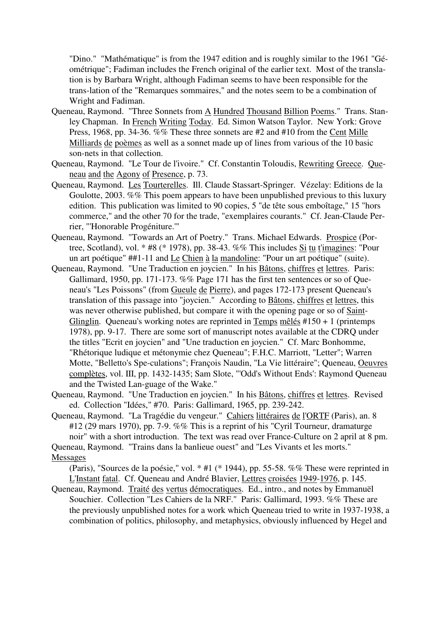"Dino." "Mathématique" is from the 1947 edition and is roughly similar to the 1961 "Géométrique"; Fadiman includes the French original of the earlier text. Most of the translation is by Barbara Wright, although Fadiman seems to have been responsible for the trans-lation of the "Remarques sommaires," and the notes seem to be a combination of Wright and Fadiman.

- Queneau, Raymond. "Three Sonnets from A Hundred Thousand Billion Poems." Trans. Stanley Chapman. In French Writing Today. Ed. Simon Watson Taylor. New York: Grove Press, 1968, pp. 34-36. %% These three sonnets are #2 and #10 from the Cent Mille Milliards de poèmes as well as a sonnet made up of lines from various of the 10 basic son-nets in that collection.
- Queneau, Raymond. "Le Tour de l'ivoire." Cf. Constantin Toloudis, Rewriting Greece. Queneau and the Agony of Presence, p. 73.
- Queneau, Raymond. Les Tourterelles. Ill. Claude Stassart-Springer. Vézelay: Editions de la Goulotte, 2003. %% This poem appears to have been unpublished previous to this luxury edition. This publication was limited to 90 copies, 5 "de tête sous emboîtage," 15 "hors commerce," and the other 70 for the trade, "exemplaires courants." Cf. Jean-Claude Perrier, "'Honorable Progéniture.'"
- Queneau, Raymond. "Towards an Art of Poetry." Trans. Michael Edwards. Prospice (Portree, Scotland), vol. \* #8 (\* 1978), pp. 38-43. %% This includes Si tu t'imagines: "Pour un art poétique" ##1-11 and Le Chien à la mandoline: "Pour un art poétique" (suite).
- Queneau, Raymond. "Une Traduction en joycien." In his Bâtons, chiffres et lettres. Paris: Gallimard, 1950, pp. 171-173. %% Page 171 has the first ten sentences or so of Queneau's "Les Poissons" (from Gueule de Pierre), and pages 172-173 present Queneau's translation of this passage into "joycien." According to Bâtons, chiffres et lettres, this was never otherwise published, but compare it with the opening page or so of Saint-Glinglin. Queneau's working notes are reprinted in Temps mêlés  $\#150 + 1$  (printemps 1978), pp. 9-17. There are some sort of manuscript notes available at the CDRQ under the titles "Ecrit en joycien" and "Une traduction en joycien." Cf. Marc Bonhomme, "Rhétorique ludique et métonymie chez Queneau"; F.H.C. Marriott, "Letter"; Warren Motte, "Belletto's Spe-culations"; François Naudin, "La Vie littéraire"; Queneau, Oeuvres complètes, vol. III, pp. 1432-1435; Sam Slote, "'Odd's Without Ends': Raymond Queneau and the Twisted Lan-guage of the Wake."
- Queneau, Raymond. "Une Traduction en joycien." In his Bâtons, chiffres et lettres. Revised ed. Collection "Idées," #70. Paris: Gallimard, 1965, pp. 239-242.
- Queneau, Raymond. "La Tragédie du vengeur." Cahiers littéraires de l'ORTF (Paris), an. 8 #12 (29 mars 1970), pp. 7-9. %% This is a reprint of his "Cyril Tourneur, dramaturge noir" with a short introduction. The text was read over France-Culture on 2 april at 8 pm.

Queneau, Raymond. "Trains dans la banlieue ouest" and "Les Vivants et les morts." Messages

(Paris), "Sources de la poésie," vol. \* #1 (\* 1944), pp. 55-58. %% These were reprinted in L'Instant fatal. Cf. Queneau and André Blavier, Lettres croisées 1949-1976, p. 145.

Queneau, Raymond. Traité des vertus démocratiques. Ed., intro., and notes by Emmanuël Souchier. Collection "Les Cahiers de la NRF." Paris: Gallimard, 1993. %% These are the previously unpublished notes for a work which Queneau tried to write in 1937-1938, a combination of politics, philosophy, and metaphysics, obviously influenced by Hegel and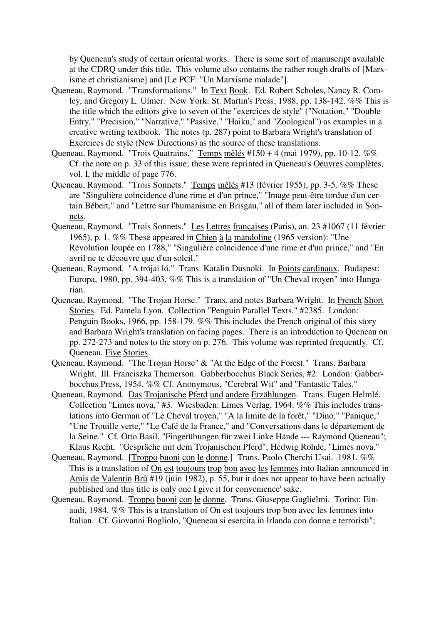by Queneau's study of certain oriental works. There is some sort of manuscript available at the CDRQ under this title. This volume also contains the rather rough drafts of [Marxisme et christianisme] and [Le PCF: "Un Marxisme malade"].

- Queneau, Raymond. "Transformations." In Text Book. Ed. Robert Scholes, Nancy R. Comley, and Gregory L. Ulmer. New York: St. Martin's Press, 1988, pp. 138-142. %% This is the title which the editors give to seven of the "exercices de style" ("Notation," "Double Entry," "Precision," "Narrative," "Passive," "Haiku," and "Zoological") as examples in a creative writing textbook. The notes (p. 287) point to Barbara Wright's translation of Exercices de style (New Directions) as the source of these translations.
- Queneau, Raymond. "Trois Quatrains." Temps mêlés #150 + 4 (mai 1979), pp. 10-12. %% Cf. the note on p. 33 of this issue; these were reprinted in Queneau's Oeuvres complètes, vol. I, the middle of page 776.
- Queneau, Raymond. "Trois Sonnets." Temps mêlés #13 (février 1955), pp. 3-5. %% These are "Singulière coïncidence d'une rime et d'un prince," "Image peut-être tordue d'un certain Bébert," and "Lettre sur l'humanisme en Brisgau," all of them later included in Sonnets.
- Queneau, Raymond. "Trois Sonnets." Les Lettres françaises (Paris), an. 23 #1067 (11 février 1965), p. 1. %% These appeared in Chien à la mandoline (1965 version): "Une Révolution loupée en 1788," "Singulière coïncidence d'une rime et d'un prince," and "En avril ne te découvre que d'un soleil."
- Queneau, Raymond. "A trójai ló." Trans. Katalin Dusnoki. In Points cardinaux. Budapest: Europa, 1980, pp. 394-403. %% This is a translation of "Un Cheval troyen" into Hungarian.
- Queneau, Raymond. "The Trojan Horse." Trans. and notes Barbara Wright. In French Short Stories. Ed. Pamela Lyon. Collection "Penguin Parallel Texts," #2385. London: Penguin Books, 1966, pp. 158-179. %% This includes the French original of this story and Barbara Wright's translation on facing pages. There is an introduction to Queneau on pp. 272-273 and notes to the story on p. 276. This volume was reprinted frequently. Cf. Queneau, Five Stories.
- Queneau, Raymond. "The Trojan Horse" & "At the Edge of the Forest." Trans. Barbara Wright. Ill. Franciszka Themerson. Gabberbocchus Black Series, #2. London: Gabberbocchus Press, 1954. %% Cf. Anonymous, "Cerebral Wit" and "Fantastic Tales."
- Queneau, Raymond. Das Trojanische Pferd und andere Erzählungen. Trans. Eugen Helmlé. Collection "Limes nova," #3. Wiesbaden: Limes Verlag, 1964. %% This includes translations into German of "Le Cheval troyen," "A la limite de la forêt," "Dino," "Panique," "Une Trouille verte," "Le Café de la France," and "Conversations dans le département de la Seine." Cf. Otto Basil, "Fingerübungen für zwei Linke Hände --- Raymond Queneau"; Klaus Recht, "Gespräche mit dem Trojanischen Pferd"; Hedwig Rohde, "Limes nova."
- Queneau, Raymond. [Troppo buoni con le donne.] Trans. Paolo Cherchi Usai. 1981. %% This is a translation of On est toujours trop bon avec les femmes into Italian announced in Amis de Valentin Brû #19 (juin 1982), p. 55, but it does not appear to have been actually published and this title is only one I give it for convenience' sake.
- Queneau, Raymond. Troppo buoni con le donne. Trans. Giuseppe Guglielmi. Torino: Einaudi, 1984. %% This is a translation of On est toujours trop bon avec les femmes into Italian. Cf. Giovanni Bogliolo, "Queneau si esercita in Irlanda con donne e terroristi";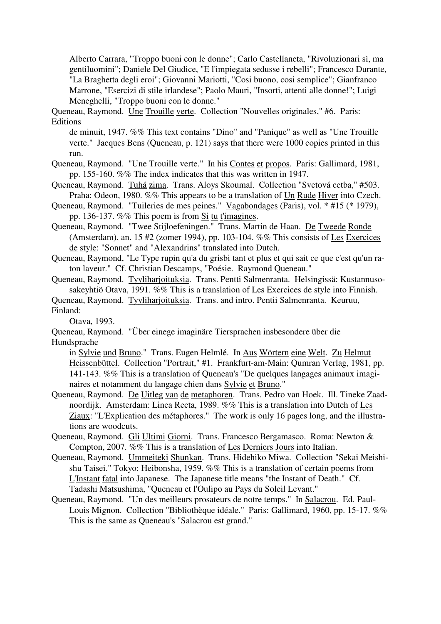Alberto Carrara, "Troppo buoni con le donne"; Carlo Castellaneta, "Rivoluzionari sì, ma gentiluomini"; Daniele Del Giudice, "E l'impiegata sedusse i rebelli"; Francesco Durante, "La Braghetta degli eroi"; Giovanni Mariotti, "Cosi buono, cosi semplice"; Gianfranco Marrone, "Esercizi di stile irlandese"; Paolo Mauri, "Insorti, attenti alle donne!"; Luigi Meneghelli, "Troppo buoni con le donne."

Queneau, Raymond. Une Trouille verte. Collection "Nouvelles originales," #6. Paris: **Editions** 

de minuit, 1947. %% This text contains "Dino" and "Panique" as well as "Une Trouille verte." Jacques Bens (Queneau, p. 121) says that there were 1000 copies printed in this run.

Queneau, Raymond. "Une Trouille verte." In his Contes et propos. Paris: Gallimard, 1981, pp. 155-160. %% The index indicates that this was written in 1947.

Queneau, Raymond. Tuhá zima. Trans. Aloys Skoumal. Collection "Svetová cetba," #503. Praha: Odeon, 1980. %% This appears to be a translation of Un Rude Hiver into Czech.

Queneau, Raymond. "Tuileries de mes peines." Vagabondages (Paris), vol. \* #15 (\* 1979), pp. 136-137. %% This poem is from Si tu t'imagines.

Queneau, Raymond. "Twee Stijloefeningen." Trans. Martin de Haan. De Tweede Ronde (Amsterdam), an. 15 #2 (zomer 1994), pp. 103-104. %% This consists of Les Exercices de style: "Sonnet" and "Alexandrins" translated into Dutch.

Queneau, Raymond, "Le Type rupin qu'a du grisbi tant et plus et qui sait ce que c'est qu'un raton laveur." Cf. Christian Descamps, "Poésie. Raymond Queneau."

Queneau, Raymond. Tyyliharjoituksia. Trans. Pentti Salmenranta. Helsingissä: Kustannusosakeyhtiö Otava, 1991. %% This is a translation of Les Exercices de style into Finnish.

Queneau, Raymond. Tyyliharjoituksia. Trans. and intro. Pentii Salmenranta. Keuruu, Finland:

Otava, 1993.

Queneau, Raymond. "Über einege imaginäre Tiersprachen insbesondere über die Hundsprache

in Sylvie und Bruno." Trans. Eugen Helmlé. In Aus Wörtern eine Welt. Zu Helmut Heissenbüttel. Collection "Portrait," #1. Frankfurt-am-Main: Qumran Verlag, 1981, pp. 141-143. %% This is a translation of Queneau's "De quelques langages animaux imaginaires et notamment du langage chien dans Sylvie et Bruno."

Queneau, Raymond. De Uitleg van de metaphoren. Trans. Pedro van Hoek. Ill. Tineke Zaadnoordijk. Amsterdam: Linea Recta, 1989. %% This is a translation into Dutch of Les Ziaux: "L'Explication des métaphores." The work is only 16 pages long, and the illustrations are woodcuts.

Queneau, Raymond. Gli Ultimi Giorni. Trans. Francesco Bergamasco. Roma: Newton & Compton, 2007. %% This is a translation of Les Derniers Jours into Italian.

- Queneau, Raymond. Ummeiteki Shunkan. Trans. Hidehiko Miwa. Collection "Sekai Meishishu Taisei." Tokyo: Heibonsha, 1959. %% This is a translation of certain poems from L'Instant fatal into Japanese. The Japanese title means "the Instant of Death." Cf. Tadashi Matsushima, "Queneau et l'Oulipo au Pays du Soleil Levant."
- Queneau, Raymond. "Un des meilleurs prosateurs de notre temps." In Salacrou. Ed. Paul-Louis Mignon. Collection "Bibliothèque idéale." Paris: Gallimard, 1960, pp. 15-17. %% This is the same as Queneau's "Salacrou est grand."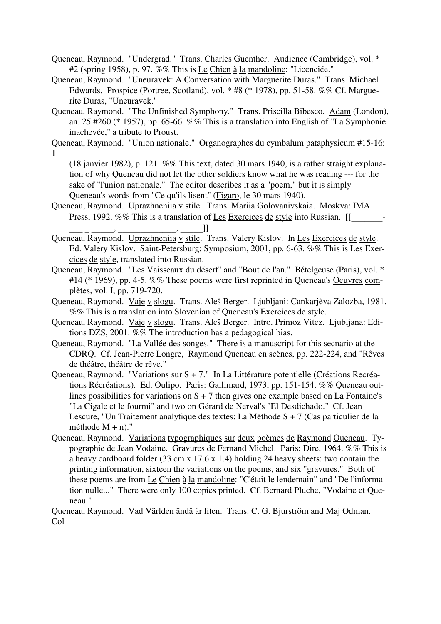Queneau, Raymond. "Undergrad." Trans. Charles Guenther. Audience (Cambridge), vol. \* #2 (spring 1958), p. 97. %% This is Le Chien à la mandoline: "Licenciée."

- Queneau, Raymond. "Uneuravek: A Conversation with Marguerite Duras." Trans. Michael Edwards. Prospice (Portree, Scotland), vol. \* #8 (\* 1978), pp. 51-58. %% Cf. Marguerite Duras, "Uneuravek."
- Queneau, Raymond. "The Unfinished Symphony." Trans. Priscilla Bibesco. Adam (London), an. 25 #260 (\* 1957), pp. 65-66. %% This is a translation into English of "La Symphonie" inachevée," a tribute to Proust.
- Queneau, Raymond. "Union nationale." Organographes du cymbalum pataphysicum #15-16: 1

(18 janvier 1982), p. 121. %% This text, dated 30 mars 1940, is a rather straight explanation of why Queneau did not let the other soldiers know what he was reading --- for the sake of "l'union nationale." The editor describes it as a "poem," but it is simply Queneau's words from "Ce qu'ils lisent" (Figaro, le 30 mars 1940).

Queneau, Raymond. Uprazhneniia v stile. Trans. Mariia Golovanivskaia. Moskva: IMA Press, 1992. %% This is a translation of Les Exercices de style into Russian. [[\_\_\_\_\_\_\_-

- Queneau, Raymond. Uprazhneniia v stile. Trans. Valery Kislov. In Les Exercices de style. Ed. Valery Kislov. Saint-Petersburg: Symposium, 2001, pp. 6-63. %% This is Les Exercices de style, translated into Russian.
- Queneau, Raymond. "Les Vaisseaux du désert" and "Bout de l'an." Bételgeuse (Paris), vol. \* #14 (\* 1969), pp. 4-5. %% These poems were first reprinted in Queneau's Oeuvres complètes, vol. I, pp. 719-720.
- Queneau, Raymond. Vaje v slogu. Trans. Aleš Berger. Ljubljani: Cankarjèva Zalozba, 1981. %% This is a translation into Slovenian of Queneau's Exercices de style.
- Queneau, Raymond. Vaje v slogu. Trans. Aleš Berger. Intro. Primoz Vitez. Ljubljana: Editions DZS, 2001. %% The introduction has a pedagogical bias.
- Queneau, Raymond. "La Vallée des songes." There is a manuscript for this secnario at the CDRQ. Cf. Jean-Pierre Longre, Raymond Queneau en scènes, pp. 222-224, and "Rêves de théâtre, théâtre de rêve."
- Queneau, Raymond. "Variations sur S + 7." In La Littérature potentielle (Créations Recréations Récréations). Ed. Oulipo. Paris: Gallimard, 1973, pp. 151-154. %% Queneau outlines possibilities for variations on  $S + 7$  then gives one example based on La Fontaine's "La Cigale et le fourmi" and two on Gérard de Nerval's "El Desdichado." Cf. Jean Lescure, "Un Traitement analytique des textes: La Méthode S + 7 (Cas particulier de la méthode  $M + n$ )."
- Queneau, Raymond. Variations typographiques sur deux poèmes de Raymond Queneau. Typographie de Jean Vodaine. Gravures de Fernand Michel. Paris: Dire, 1964. %% This is a heavy cardboard folder (33 cm x 17.6 x 1.4) holding 24 heavy sheets: two contain the printing information, sixteen the variations on the poems, and six "gravures." Both of these poems are from Le Chien à la mandoline: "C'était le lendemain" and "De l'information nulle..." There were only 100 copies printed. Cf. Bernard Pluche, "Vodaine et Queneau."

Queneau, Raymond. Vad Världen ändå är liten. Trans. C. G. Bjurström and Maj Odman. Col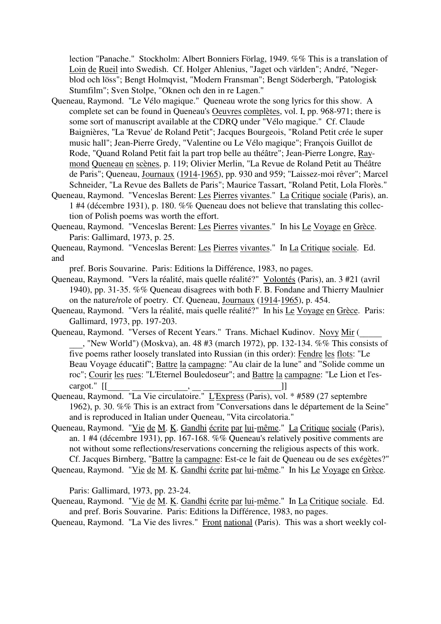lection "Panache." Stockholm: Albert Bonniers Förlag, 1949. %% This is a translation of Loin de Rueil into Swedish. Cf. Holger Ahlenius, "Jaget och världen"; André, "Negerblod och löss"; Bengt Holmqvist, "Modern Fransman"; Bengt Söderbergh, "Patologisk Stumfilm"; Sven Stolpe, "Oknen och den in re Lagen."

- Queneau, Raymond. "Le Vélo magique." Queneau wrote the song lyrics for this show. A complete set can be found in Queneau's Oeuvres complètes, vol. I, pp. 968-971; there is some sort of manuscript available at the CDRQ under "Vélo magique." Cf. Claude Baignières, "La 'Revue' de Roland Petit"; Jacques Bourgeois, "Roland Petit crée le super music hall"; Jean-Pierre Gredy, "Valentine ou Le Vélo magique"; François Guillot de Rode, "Quand Roland Petit fait la part trop belle au théâtre"; Jean-Pierre Longre, Raymond Queneau en scènes, p. 119; Olivier Merlin, "La Revue de Roland Petit au Théâtre de Paris"; Queneau, Journaux (1914-1965), pp. 930 and 959; "Laissez-moi rêver"; Marcel Schneider, "La Revue des Ballets de Paris"; Maurice Tassart, "Roland Petit, Lola Florès."
- Queneau, Raymond. "Venceslas Berent: Les Pierres vivantes." La Critique sociale (Paris), an. 1 #4 (décembre 1931), p. 180. %% Queneau does not believe that translating this collection of Polish poems was worth the effort.
- Queneau, Raymond. "Venceslas Berent: Les Pierres vivantes." In his Le Voyage en Grèce. Paris: Gallimard, 1973, p. 25.
- Queneau, Raymond. "Venceslas Berent: Les Pierres vivantes." In La Critique sociale. Ed. and

pref. Boris Souvarine. Paris: Editions la Différence, 1983, no pages.

- Queneau, Raymond. "Vers la réalité, mais quelle réalité?" Volontés (Paris), an. 3 #21 (avril 1940), pp. 31-35. %% Queneau disagrees with both F. B. Fondane and Thierry Maulnier on the nature/role of poetry. Cf. Queneau, Journaux (1914-1965), p. 454.
- Queneau, Raymond. "Vers la réalité, mais quelle réalité?" In his Le Voyage en Grèce. Paris: Gallimard, 1973, pp. 197-203.
- Queneau, Raymond. "Verses of Recent Years." Trans. Michael Kudinov. Novy Mir ( \_\_\_, "New World") (Moskva), an. 48 #3 (march 1972), pp. 132-134. %% This consists of five poems rather loosely translated into Russian (in this order): Fendre les flots: "Le Beau Voyage éducatif"; Battre la campagne: "Au clair de la lune" and "Solide comme un roc"; Courir les rues: "L'Eternel Bouledoseur"; and Battre la campagne: "Le Lion et l'es-
- cargot." [[\_\_\_\_\_ \_\_\_\_\_\_\_\_\_ \_\_\_, \_\_ \_\_\_\_\_\_\_\_\_\_\_ \_\_\_\_\_\_]] Queneau, Raymond. "La Vie circulatoire." L'Express (Paris), vol. \* #589 (27 septembre 1962), p. 30. %% This is an extract from "Conversations dans le département de la Seine" and is reproduced in Italian under Queneau, "Vita circolatoria."
- Queneau, Raymond. "Vie de M. K. Gandhi écrite par lui-même." La Critique sociale (Paris), an. 1 #4 (décembre 1931), pp. 167-168. %% Queneau's relatively positive comments are not without some reflections/reservations concerning the religious aspects of this work. Cf. Jacques Birnberg, "Battre la campagne: Est-ce le fait de Queneau ou de ses exégètes?"
- Queneau, Raymond. "Vie de M. K. Gandhi écrite par lui-même." In his Le Voyage en Grèce.

Paris: Gallimard, 1973, pp. 23-24.

- Queneau, Raymond. "Vie de M. K. Gandhi écrite par lui-même." In La Critique sociale. Ed. and pref. Boris Souvarine. Paris: Editions la Différence, 1983, no pages.
- Queneau, Raymond. "La Vie des livres." Front national (Paris). This was a short weekly col-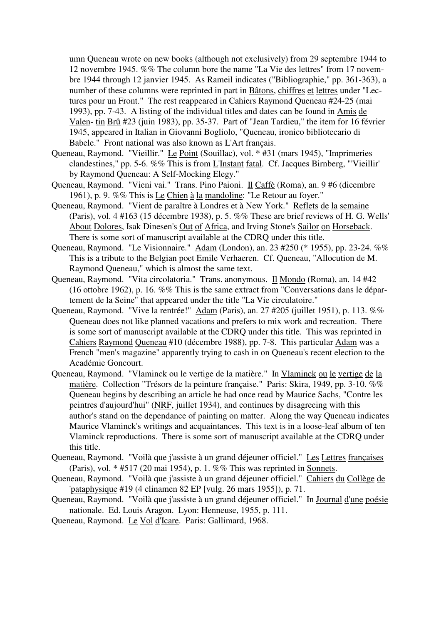umn Queneau wrote on new books (although not exclusively) from 29 septembre 1944 to 12 novembre 1945. %% The column bore the name "La Vie des lettres" from 17 novembre 1944 through 12 janvier 1945. As Rameil indicates ("Bibliographie," pp. 361-363), a number of these columns were reprinted in part in Bâtons, chiffres et lettres under "Lectures pour un Front." The rest reappeared in Cahiers Raymond Queneau #24-25 (mai 1993), pp. 7-43. A listing of the individual titles and dates can be found in Amis de Valen- tin Brû #23 (juin 1983), pp. 35-37. Part of "Jean Tardieu," the item for 16 février 1945, appeared in Italian in Giovanni Bogliolo, "Queneau, ironico bibliotecario di Babele." Front national was also known as L'Art français.

- Queneau, Raymond. "Vieillir." Le Point (Souillac), vol. \* #31 (mars 1945), "Imprimeries clandestines," pp. 5-6. %% This is from L'Instant fatal. Cf. Jacques Birnberg, "'Vieillir' by Raymond Queneau: A Self-Mocking Elegy."
- Queneau, Raymond. "Vieni vai." Trans. Pino Paioni. Il Caffè (Roma), an. 9 #6 (dicembre 1961), p. 9. %% This is Le Chien à la mandoline: "Le Retour au foyer."
- Queneau, Raymond. "Vient de paraître à Londres et à New York." Reflets de la semaine (Paris), vol. 4 #163 (15 décembre 1938), p. 5. %% These are brief reviews of H. G. Wells' About Dolores, Isak Dinesen's Out of Africa, and Irving Stone's Sailor on Horseback. There is some sort of manuscript available at the CDRQ under this title.
- Queneau, Raymond. "Le Visionnaire." Adam (London), an. 23 #250 (\* 1955), pp. 23-24. %% This is a tribute to the Belgian poet Emile Verhaeren. Cf. Queneau, "Allocution de M. Raymond Queneau," which is almost the same text.
- Queneau, Raymond. "Vita circolatoria." Trans. anonymous. Il Mondo (Roma), an. 14 #42 (16 ottobre 1962), p. 16. %% This is the same extract from "Conversations dans le département de la Seine" that appeared under the title "La Vie circulatoire."
- Queneau, Raymond. "Vive la rentrée!" Adam (Paris), an. 27 #205 (juillet 1951), p. 113. %% Queneau does not like planned vacations and prefers to mix work and recreation. There is some sort of manuscript available at the CDRQ under this title. This was reprinted in Cahiers Raymond Queneau #10 (décembre 1988), pp. 7-8. This particular Adam was a French "men's magazine" apparently trying to cash in on Queneau's recent election to the Académie Goncourt.
- Queneau, Raymond. "Vlaminck ou le vertige de la matière." In Vlaminck ou le vertige de la matière. Collection "Trésors de la peinture française." Paris: Skira, 1949, pp. 3-10. %% Queneau begins by describing an article he had once read by Maurice Sachs, "Contre les peintres d'aujourd'hui" (NRF, juillet 1934), and continues by disagreeing with this author's stand on the dependance of painting on matter. Along the way Queneau indicates Maurice Vlaminck's writings and acquaintances. This text is in a loose-leaf album of ten Vlaminck reproductions. There is some sort of manuscript available at the CDRQ under this title.
- Queneau, Raymond. "Voilà que j'assiste à un grand déjeuner officiel." Les Lettres françaises (Paris), vol. \* #517 (20 mai 1954), p. 1. %% This was reprinted in Sonnets.
- Queneau, Raymond. "Voilà que j'assiste à un grand déjeuner officiel." Cahiers du Collège de 'pataphysique #19 (4 clinamen 82 EP [vulg. 26 mars 1955]), p. 71.
- Queneau, Raymond. "Voilà que j'assiste à un grand déjeuner officiel." In Journal d'une poésie nationale. Ed. Louis Aragon. Lyon: Henneuse, 1955, p. 111.
- Queneau, Raymond. Le Vol d'Icare. Paris: Gallimard, 1968.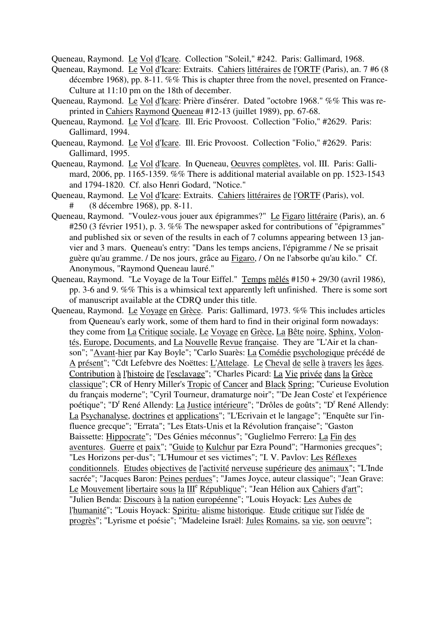Queneau, Raymond. Le Vol d'Icare. Collection "Soleil," #242. Paris: Gallimard, 1968.

- Queneau, Raymond. Le Vol d'Icare: Extraits. Cahiers littéraires de l'ORTF (Paris), an. 7 #6 (8 décembre 1968), pp. 8-11. %% This is chapter three from the novel, presented on France-Culture at 11:10 pm on the 18th of december.
- Queneau, Raymond. Le Vol d'Icare: Prière d'insérer. Dated "octobre 1968." %% This was reprinted in Cahiers Raymond Queneau #12-13 (juillet 1989), pp. 67-68.
- Queneau, Raymond. Le Vol d'Icare. Ill. Eric Provoost. Collection "Folio," #2629. Paris: Gallimard, 1994.
- Queneau, Raymond. Le Vol d'Icare. Ill. Eric Provoost. Collection "Folio," #2629. Paris: Gallimard, 1995.
- Queneau, Raymond. Le Vol d'Icare. In Queneau, Oeuvres complètes, vol. III. Paris: Gallimard, 2006, pp. 1165-1359. %% There is additional material available on pp. 1523-1543 and 1794-1820. Cf. also Henri Godard, "Notice."
- Queneau, Raymond. Le Vol d'Icare: Extraits. Cahiers littéraires de l'ORTF (Paris), vol. # (8 décembre 1968), pp. 8-11.
- Queneau, Raymond. "Voulez-vous jouer aux épigrammes?" Le Figaro littéraire (Paris), an. 6 #250 (3 février 1951), p. 3. %% The newspaper asked for contributions of "épigrammes" and published six or seven of the results in each of 7 columns appearing between 13 janvier and 3 mars. Queneau's entry: "Dans les temps anciens, l'épigramme / Ne se prisait guère qu'au gramme. / De nos jours, grâce au Figaro, / On ne l'absorbe qu'au kilo." Cf. Anonymous, "Raymond Queneau lauré."
- Queneau, Raymond. "Le Voyage de la Tour Eiffel." Temps mêlés #150 + 29/30 (avril 1986), pp. 3-6 and 9. %% This is a whimsical text apparently left unfinished. There is some sort of manuscript available at the CDRQ under this title.
- Queneau, Raymond. Le Voyage en Grèce. Paris: Gallimard, 1973. %% This includes articles from Queneau's early work, some of them hard to find in their original form nowadays: they come from La Critique sociale, Le Voyage en Grèce, La Bête noire, Sphinx, Volontés, Europe, Documents, and La Nouvelle Revue française. They are "L'Air et la chanson"; "Avant-hier par Kay Boyle"; "Carlo Suarès: La Comédie psychologique précédé de A présent"; "Cdt Lefebvre des Noëttes: L'Attelage. Le Cheval de selle à travers les âges. Contribution à l'histoire de l'esclavage"; "Charles Picard: La Vie privée dans la Grèce classique"; CR of Henry Miller's Tropic of Cancer and Black Spring; "Curieuse Evolution du français moderne"; "Cyril Tourneur, dramaturge noir"; "'De Jean Coste' et l'expérience poétique"; "D<sup>r</sup> René Allendy: *La Justice intérieure*"; "Drôles de goûts"; "D<sup>r</sup> René Allendy: La Psychanalyse, doctrines et applications"; "L'Ecrivain et le langage"; "Enquête sur l'influence grecque"; "Errata"; "Les Etats-Unis et la Révolution française"; "Gaston Baissette: Hippocrate"; "Des Génies méconnus"; "Guglielmo Ferrero: La Fin des aventures. Guerre et paix"; "Guide to Kulchur par Ezra Pound"; "Harmonies grecques"; "Les Horizons per-dus"; "L'Humour et ses victimes"; "I. V. Pavlov: Les Réflexes conditionnels. Etudes objectives de l'activité nerveuse supérieure des animaux"; "L'Inde sacrée"; "Jacques Baron: Peines perdues"; "James Joyce, auteur classique"; "Jean Grave: Le Mouvement libertaire sous la  $III^e$  République"; "Jean Hélion aux Cahiers d'art"; "Julien Benda: Discours à la nation européenne"; "Louis Hoyack: Les Aubes de l'humanité"; "Louis Hoyack: Spiritu- alisme historique. Etude critique sur l'idée de progrès"; "Lyrisme et poésie"; "Madeleine Israël: Jules Romains, sa vie, son oeuvre";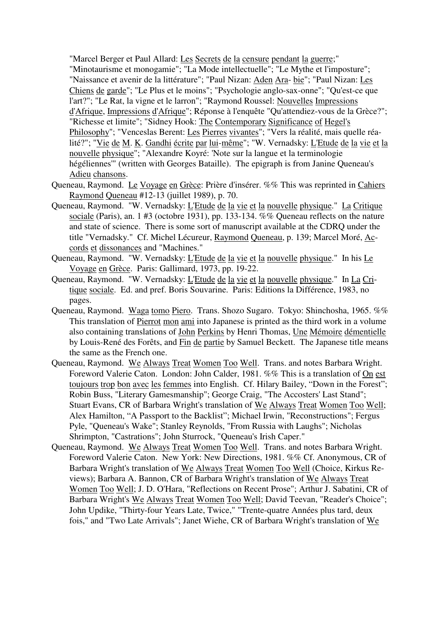"Marcel Berger et Paul Allard: Les Secrets de la censure pendant la guerre;" "Minotaurisme et monogamie"; "La Mode intellectuelle"; "Le Mythe et l'imposture"; "Naissance et avenir de la littérature"; "Paul Nizan: Aden Ara- bie"; "Paul Nizan: Les Chiens de garde"; "Le Plus et le moins"; "Psychologie anglo-sax-onne"; "Qu'est-ce que l'art?"; "Le Rat, la vigne et le larron"; "Raymond Roussel: Nouvelles Impressions d'Afrique, Impressions d'Afrique"; Réponse à l'enquête "Qu'attendiez-vous de la Grèce?"; "Richesse et limite"; "Sidney Hook: The Contemporary Significance of Hegel's Philosophy"; "Venceslas Berent: Les Pierres vivantes"; "Vers la réalité, mais quelle réalité?"; "Vie de M. K. Gandhi écrite par lui-même"; "W. Vernadsky: L'Etude de la vie et la nouvelle physique"; "Alexandre Koyré: 'Note sur la langue et la terminologie hégéliennes'" (written with Georges Bataille). The epigraph is from Janine Queneau's Adieu chansons.

- Queneau, Raymond. Le Voyage en Grèce: Prière d'insérer. %% This was reprinted in Cahiers Raymond Queneau #12-13 (juillet 1989), p. 70.
- Queneau, Raymond. "W. Vernadsky: L'Etude de la vie et la nouvelle physique." La Critique sociale (Paris), an. 1 #3 (octobre 1931), pp. 133-134. %% Queneau reflects on the nature and state of science. There is some sort of manuscript available at the CDRQ under the title "Vernadsky." Cf. Michel Lécureur, Raymond Queneau, p. 139; Marcel Moré, Accords et dissonances and "Machines."
- Queneau, Raymond. "W. Vernadsky: L'Etude de la vie et la nouvelle physique." In his Le Voyage en Grèce. Paris: Gallimard, 1973, pp. 19-22.
- Queneau, Raymond. "W. Vernadsky: L'Etude de la vie et la nouvelle physique." In La Critique sociale. Ed. and pref. Boris Souvarine. Paris: Editions la Différence, 1983, no pages.
- Queneau, Raymond. Waga tomo Piero. Trans. Shozo Sugaro. Tokyo: Shinchosha, 1965. %% This translation of Pierrot mon ami into Japanese is printed as the third work in a volume also containing translations of John Perkins by Henri Thomas, Une Mémoire démentielle by Louis-René des Forêts, and Fin de partie by Samuel Beckett. The Japanese title means the same as the French one.
- Queneau, Raymond. We Always Treat Women Too Well. Trans. and notes Barbara Wright. Foreword Valerie Caton. London: John Calder, 1981. %% This is a translation of On est toujours trop bon avec les femmes into English. Cf. Hilary Bailey, "Down in the Forest"; Robin Buss, "Literary Gamesmanship"; George Craig, "The Accosters' Last Stand"; Stuart Evans, CR of Barbara Wright's translation of We Always Treat Women Too Well; Alex Hamilton, "A Passport to the Backlist"; Michael Irwin, "Reconstructions"; Fergus Pyle, "Queneau's Wake"; Stanley Reynolds, "From Russia with Laughs"; Nicholas Shrimpton, "Castrations"; John Sturrock, "Queneau's Irish Caper."
- Queneau, Raymond. We Always Treat Women Too Well. Trans. and notes Barbara Wright. Foreword Valerie Caton. New York: New Directions, 1981. %% Cf. Anonymous, CR of Barbara Wright's translation of We Always Treat Women Too Well (Choice, Kirkus Reviews); Barbara A. Bannon, CR of Barbara Wright's translation of We Always Treat Women Too Well; J. D. O'Hara, "Reflections on Recent Prose"; Arthur J. Sabatini, CR of Barbara Wright's We Always Treat Women Too Well; David Teevan, "Reader's Choice"; John Updike, "Thirty-four Years Late, Twice," "Trente-quatre Années plus tard, deux fois," and "Two Late Arrivals"; Janet Wiehe, CR of Barbara Wright's translation of We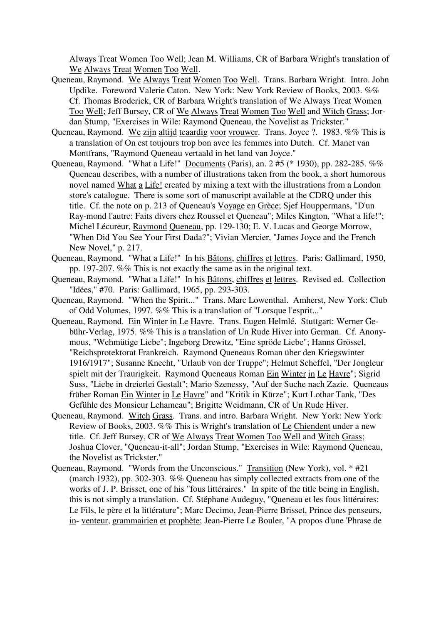Always Treat Women Too Well; Jean M. Williams, CR of Barbara Wright's translation of We Always Treat Women Too Well.

- Queneau, Raymond. We Always Treat Women Too Well. Trans. Barbara Wright. Intro. John Updike. Foreword Valerie Caton. New York: New York Review of Books, 2003. %% Cf. Thomas Broderick, CR of Barbara Wright's translation of We Always Treat Women Too Well; Jeff Bursey, CR of We Always Treat Women Too Well and Witch Grass; Jordan Stump, "Exercises in Wile: Raymond Queneau, the Novelist as Trickster."
- Queneau, Raymond. We zijn altijd teaardig voor vrouwer. Trans. Joyce ?. 1983. %% This is a translation of On est toujours trop bon avec les femmes into Dutch. Cf. Manet van Montfrans, "Raymond Queneau vertaald in het land van Joyce."
- Queneau, Raymond. "What a Life!" Documents (Paris), an. 2 #5 (\* 1930), pp. 282-285. %% Queneau describes, with a number of illustrations taken from the book, a short humorous novel named What a Life! created by mixing a text with the illustrations from a London store's catalogue. There is some sort of manuscript available at the CDRQ under this title. Cf. the note on p. 213 of Queneau's Voyage en Grèce; Sjef Houppermans, "D'un Ray-mond l'autre: Faits divers chez Roussel et Queneau"; Miles Kington, "What a life!"; Michel Lécureur, Raymond Queneau, pp. 129-130; E. V. Lucas and George Morrow, "When Did You See Your First Dada?"; Vivian Mercier, "James Joyce and the French New Novel," p. 217.
- Queneau, Raymond. "What a Life!" In his Bâtons, chiffres et lettres. Paris: Gallimard, 1950, pp. 197-207. %% This is not exactly the same as in the original text.
- Queneau, Raymond. "What a Life!" In his Bâtons, chiffres et lettres. Revised ed. Collection "Idées," #70. Paris: Gallimard, 1965, pp. 293-303.
- Queneau, Raymond. "When the Spirit..." Trans. Marc Lowenthal. Amherst, New York: Club of Odd Volumes, 1997. %% This is a translation of "Lorsque l'esprit..."
- Queneau, Raymond. Ein Winter in Le Havre. Trans. Eugen Helmlé. Stuttgart: Werner Gebühr-Verlag, 1975. %% This is a translation of Un Rude Hiver into German. Cf. Anonymous, "Wehmütige Liebe"; Ingeborg Drewitz, "Eine spröde Liebe"; Hanns Grössel, "Reichsprotektorat Frankreich. Raymond Queneaus Roman über den Kriegswinter 1916/1917"; Susanne Knecht, "Urlaub von der Truppe"; Helmut Scheffel, "Der Jongleur spielt mit der Traurigkeit. Raymond Queneaus Roman Ein Winter in Le Havre"; Sigrid Suss, "Liebe in dreierlei Gestalt"; Mario Szenessy, "Auf der Suche nach Zazie. Queneaus früher Roman Ein Winter in Le Havre" and "Kritik in Kürze"; Kurt Lothar Tank, "Des Gefühle des Monsieur Lehameau"; Brigitte Weidmann, CR of Un Rude Hiver.
- Queneau, Raymond. Witch Grass. Trans. and intro. Barbara Wright. New York: New York Review of Books, 2003. %% This is Wright's translation of Le Chiendent under a new title. Cf. Jeff Bursey, CR of We Always Treat Women Too Well and Witch Grass; Joshua Clover, "Queneau-it-all"; Jordan Stump, "Exercises in Wile: Raymond Queneau, the Novelist as Trickster."
- Queneau, Raymond. "Words from the Unconscious." Transition (New York), vol. \* #21 (march 1932), pp. 302-303. %% Queneau has simply collected extracts from one of the works of J. P. Brisset, one of his "fous littéraires." In spite of the title being in English, this is not simply a translation. Cf. Stéphane Audeguy, "Queneau et les fous littéraires: Le Fils, le père et la littérature"; Marc Decimo, Jean-Pierre Brisset, Prince des penseurs, in- venteur, grammairien et prophète; Jean-Pierre Le Bouler, "A propos d'une 'Phrase de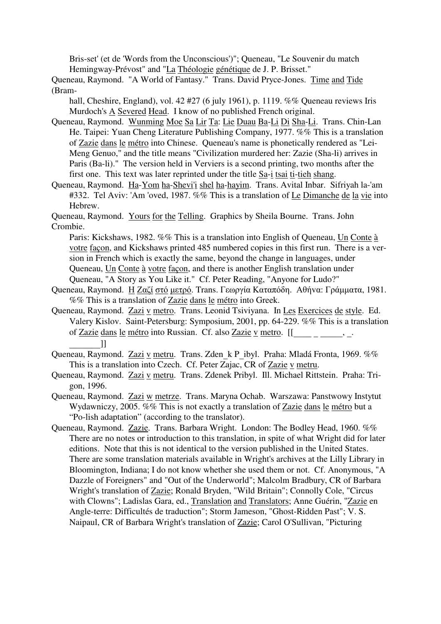Bris-set' (et de 'Words from the Unconscious')"; Queneau, "Le Souvenir du match Hemingway-Prévost" and "La Théologie génétique de J. P. Brisset."

Queneau, Raymond. "A World of Fantasy." Trans. David Pryce-Jones. Time and Tide (Bram-

hall, Cheshire, England), vol. 42 #27 (6 july 1961), p. 1119. %% Queneau reviews Iris Murdoch's A Severed Head. I know of no published French original.

- Queneau, Raymond. Wunming Moe Sa Lir Ta: Lie Duau Ba-Li Di Sha-Li. Trans. Chin-Lan He. Taipei: Yuan Cheng Literature Publishing Company, 1977. %% This is a translation of Zazie dans le métro into Chinese. Queneau's name is phonetically rendered as "Lei-Meng Genuo," and the title means "Civilization murdered her: Zazie (Sha-li) arrives in Paris (Ba-li)." The version held in Verviers is a second printing, two months after the first one. This text was later reprinted under the title Sa-i tsai ti-tieh shang.
- Queneau, Raymond. Ha-Yom ha-Shevi'i shel ha-hayim. Trans. Avital Inbar. Sifriyah la-'am #332. Tel Aviv: 'Am 'oved, 1987. %% This is a translation of Le Dimanche de la vie into Hebrew.

Queneau, Raymond. Yours for the Telling. Graphics by Sheila Bourne. Trans. John Crombie.

Paris: Kickshaws, 1982. %% This is a translation into English of Queneau, Un Conte à votre façon, and Kickshaws printed 485 numbered copies in this first run. There is a version in French which is exactly the same, beyond the change in languages, under Queneau, Un Conte à votre façon, and there is another English translation under Queneau, "A Story as You Like it." Cf. Peter Reading, "Anyone for Ludo?"

- Queneau, Raymond. Η Ζαζί στό µετρό. Trans. Γεωργία Καταπόδη. Αθήvα: Γράµµατα, 1981. %% This is a translation of Zazie dans le métro into Greek.
- Queneau, Raymond. Zazi v metro. Trans. Leonid Tsiviyana. In Les Exercices de style. Ed. Valery Kislov. Saint-Petersburg: Symposium, 2001, pp. 64-229. %% This is a translation of <u>Zazie dans le métro</u> into Russian. Cf. also <u>Zazie v metro.</u>  $[[\underline{\hspace{1cm}}\underline{\hspace{1cm}}\underline{\hspace{1cm}}\underline{\hspace{1cm}}\underline{\hspace{1cm}}\underline{\hspace{1cm}}\underline{\hspace{1cm}}\underline{\hspace{1cm}}\underline{\hspace{1cm}}\underline{\hspace{1cm}}\underline{\hspace{1cm}}\underline{\hspace{1cm}}\underline{\hspace{1cm}}\underline{\hspace{1cm}}\underline{\hspace{1cm}}\underline{\hspace{1cm}}\underline{\hspace{1cm}}\$  $\frac{1}{\text{year}}$
- Queneau, Raymond. <u>Zazi v metru</u>. Trans. Zden\_k P\_ibyl. Praha: Mladá Fronta, 1969. %%<br>This is a translation into Czech. Cf. Peter Zajac. CR of Zazie v metru. This is a translation into Czech. Cf. Peter Zajac, CR of Zazie v metru.
- Queneau, Raymond. Zazi v metru. Trans. Zdenek Pribyl. Ill. Michael Rittstein. Praha: Trigon, 1996.
- Queneau, Raymond. Zazi w metrze. Trans. Maryna Ochab. Warszawa: Panstwowy Instytut Wydawniczy, 2005. %% This is not exactly a translation of Zazie dans le métro but a "Po-lish adaptation" (according to the translator).
- Queneau, Raymond. Zazie. Trans. Barbara Wright. London: The Bodley Head, 1960. %% There are no notes or introduction to this translation, in spite of what Wright did for later editions. Note that this is not identical to the version published in the United States. There are some translation materials available in Wright's archives at the Lilly Library in Bloomington, Indiana; I do not know whether she used them or not. Cf. Anonymous, "A Dazzle of Foreigners" and "Out of the Underworld"; Malcolm Bradbury, CR of Barbara Wright's translation of Zazie; Ronald Bryden, "Wild Britain"; Connolly Cole, "Circus with Clowns"; Ladislas Gara, ed., Translation and Translators; Anne Guérin, "Zazie en Angle-terre: Difficultés de traduction"; Storm Jameson, "Ghost-Ridden Past"; V. S. Naipaul, CR of Barbara Wright's translation of Zazie; Carol O'Sullivan, "Picturing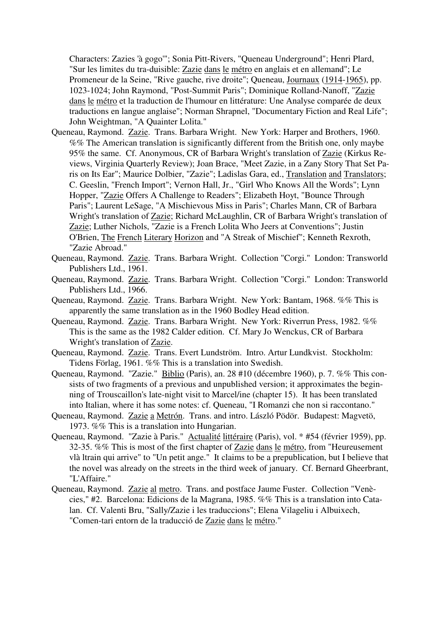Characters: Zazies 'à gogo'"; Sonia Pitt-Rivers, "Queneau Underground"; Henri Plard, "Sur les limites du tra-duisible: Zazie dans le métro en anglais et en allemand"; Le Promeneur de la Seine, "Rive gauche, rive droite"; Queneau, Journaux (1914-1965), pp. 1023-1024; John Raymond, "Post-Summit Paris"; Dominique Rolland-Nanoff, "Zazie dans le métro et la traduction de l'humour en littérature: Une Analyse comparée de deux traductions en langue anglaise"; Norman Shrapnel, "Documentary Fiction and Real Life"; John Weightman, "A Quainter Lolita."

- Queneau, Raymond. Zazie. Trans. Barbara Wright. New York: Harper and Brothers, 1960. %% The American translation is significantly different from the British one, only maybe 95% the same. Cf. Anonymous, CR of Barbara Wright's translation of Zazie (Kirkus Reviews, Virginia Quarterly Review); Joan Brace, "Meet Zazie, in a Zany Story That Set Paris on Its Ear"; Maurice Dolbier, "Zazie"; Ladislas Gara, ed., Translation and Translators; C. Geeslin, "French Import"; Vernon Hall, Jr., "Girl Who Knows All the Words"; Lynn Hopper, "Zazie Offers A Challenge to Readers"; Elizabeth Hoyt, "Bounce Through Paris"; Laurent LeSage, "A Mischievous Miss in Paris"; Charles Mann, CR of Barbara Wright's translation of Zazie; Richard McLaughlin, CR of Barbara Wright's translation of Zazie; Luther Nichols, "Zazie is a French Lolita Who Jeers at Conventions"; Justin O'Brien, The French Literary Horizon and "A Streak of Mischief"; Kenneth Rexroth, "Zazie Abroad."
- Queneau, Raymond. Zazie. Trans. Barbara Wright. Collection "Corgi." London: Transworld Publishers Ltd., 1961.
- Queneau, Raymond. Zazie. Trans. Barbara Wright. Collection "Corgi." London: Transworld Publishers Ltd., 1966.
- Queneau, Raymond. Zazie. Trans. Barbara Wright. New York: Bantam, 1968. %% This is apparently the same translation as in the 1960 Bodley Head edition.
- Queneau, Raymond. Zazie. Trans. Barbara Wright. New York: Riverrun Press, 1982. %% This is the same as the 1982 Calder edition. Cf. Mary Jo Wenckus, CR of Barbara Wright's translation of Zazie.
- Queneau, Raymond. Zazie. Trans. Evert Lundström. Intro. Artur Lundkvist. Stockholm: Tidens Förlag, 1961. %% This is a translation into Swedish.
- Queneau, Raymond. "Zazie." Biblio (Paris), an. 28 #10 (décembre 1960), p. 7. %% This consists of two fragments of a previous and unpublished version; it approximates the beginning of Trouscaillon's late-night visit to Marcel/ine (chapter 15). It has been translated into Italian, where it has some notes: cf. Queneau, "I Romanzi che non si raccontano."
- Queneau, Raymond. Zazie a Metrón. Trans. and intro. László Pödör. Budapest: Magvetö, 1973. %% This is a translation into Hungarian.
- Queneau, Raymond. "Zazie à Paris." Actualité littéraire (Paris), vol. \* #54 (février 1959), pp. 32-35. %% This is most of the first chapter of Zazie dans le métro, from "Heureusement vlà ltrain qui arrive" to "Un petit ange." It claims to be a prepublication, but I believe that the novel was already on the streets in the third week of january. Cf. Bernard Gheerbrant, "L'Affaire."
- Queneau, Raymond. Zazie al metro. Trans. and postface Jaume Fuster. Collection "Venècies," #2. Barcelona: Edicions de la Magrana, 1985. %% This is a translation into Catalan. Cf. Valenti Bru, "Sally/Zazie i les traduccions"; Elena Vilageliu i Albuixech, "Comen-tari entorn de la traducció de Zazie dans le métro."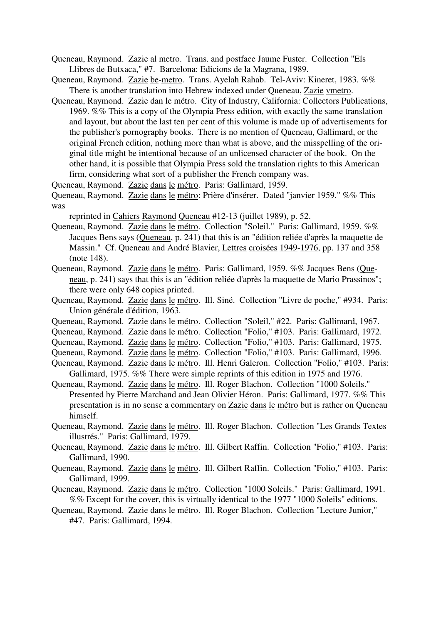- Queneau, Raymond. Zazie al metro. Trans. and postface Jaume Fuster. Collection "Els Llibres de Butxaca," #7. Barcelona: Edicions de la Magrana, 1989.
- Queneau, Raymond. Zazie be-metro. Trans. Ayelah Rahab. Tel-Aviv: Kineret, 1983. %% There is another translation into Hebrew indexed under Queneau, Zazie vmetro.
- Queneau, Raymond. Zazie dan le métro. City of Industry, California: Collectors Publications, 1969. %% This is a copy of the Olympia Press edition, with exactly the same translation and layout, but about the last ten per cent of this volume is made up of advertisements for the publisher's pornography books. There is no mention of Queneau, Gallimard, or the original French edition, nothing more than what is above, and the misspelling of the original title might be intentional because of an unlicensed character of the book. On the other hand, it is possible that Olympia Press sold the translation rights to this American firm, considering what sort of a publisher the French company was.

Queneau, Raymond. Zazie dans le métro. Paris: Gallimard, 1959.

Queneau, Raymond. Zazie dans le métro: Prière d'insérer. Dated "janvier 1959." %% This was

reprinted in Cahiers Raymond Queneau #12-13 (juillet 1989), p. 52.

- Queneau, Raymond. Zazie dans le métro. Collection "Soleil." Paris: Gallimard, 1959. %% Jacques Bens says (Queneau, p. 241) that this is an "édition reliée d'après la maquette de Massin." Cf. Queneau and André Blavier, Lettres croisées 1949-1976, pp. 137 and 358 (note 148).
- Queneau, Raymond. Zazie dans le métro. Paris: Gallimard, 1959. %% Jacques Bens (Queneau, p. 241) says that this is an "édition reliée d'après la maquette de Mario Prassinos"; there were only 648 copies printed.
- Queneau, Raymond. Zazie dans le métro. Ill. Siné. Collection "Livre de poche," #934. Paris: Union générale d'édition, 1963.
- Queneau, Raymond. Zazie dans le métro. Collection "Soleil," #22. Paris: Gallimard, 1967.
- Queneau, Raymond. Zazie dans le métro. Collection "Folio," #103. Paris: Gallimard, 1972.
- Queneau, Raymond. Zazie dans le métro. Collection "Folio," #103. Paris: Gallimard, 1975.
- Queneau, Raymond. Zazie dans le métro. Collection "Folio," #103. Paris: Gallimard, 1996.
- Queneau, Raymond. Zazie dans le métro. Ill. Henri Galeron. Collection "Folio," #103. Paris: Gallimard, 1975. %% There were simple reprints of this edition in 1975 and 1976.
- Queneau, Raymond. Zazie dans le métro. Ill. Roger Blachon. Collection "1000 Soleils." Presented by Pierre Marchand and Jean Olivier Héron. Paris: Gallimard, 1977. %% This presentation is in no sense a commentary on Zazie dans le métro but is rather on Queneau himself.
- Queneau, Raymond. Zazie dans le métro. Ill. Roger Blachon. Collection "Les Grands Textes illustrés." Paris: Gallimard, 1979.
- Queneau, Raymond. Zazie dans le métro. Ill. Gilbert Raffin. Collection "Folio," #103. Paris: Gallimard, 1990.
- Queneau, Raymond. Zazie dans le métro. Ill. Gilbert Raffin. Collection "Folio," #103. Paris: Gallimard, 1999.
- Queneau, Raymond. Zazie dans le métro. Collection "1000 Soleils." Paris: Gallimard, 1991. %% Except for the cover, this is virtually identical to the 1977 "1000 Soleils" editions.
- Queneau, Raymond. Zazie dans le métro. Ill. Roger Blachon. Collection "Lecture Junior," #47. Paris: Gallimard, 1994.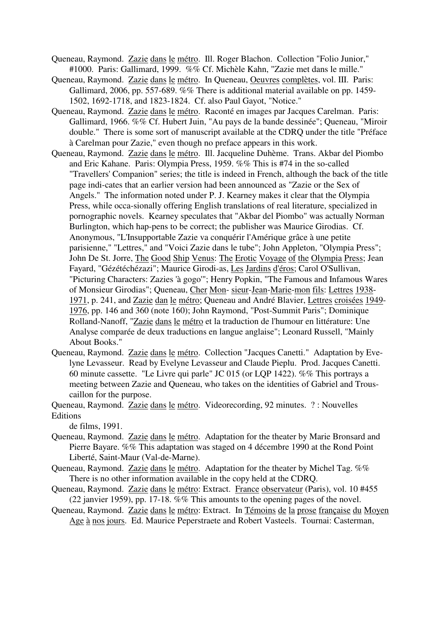- Queneau, Raymond. Zazie dans le métro. Ill. Roger Blachon. Collection "Folio Junior," #1000. Paris: Gallimard, 1999. %% Cf. Michèle Kahn, "Zazie met dans le mille."
- Queneau, Raymond. Zazie dans le métro. In Queneau, Oeuvres complètes, vol. III. Paris: Gallimard, 2006, pp. 557-689. %% There is additional material available on pp. 1459- 1502, 1692-1718, and 1823-1824. Cf. also Paul Gayot, "Notice."
- Queneau, Raymond. Zazie dans le métro. Raconté en images par Jacques Carelman. Paris: Gallimard, 1966. %% Cf. Hubert Juin, "Au pays de la bande dessinée"; Queneau, "Miroir double." There is some sort of manuscript available at the CDRQ under the title "Préface à Carelman pour Zazie," even though no preface appears in this work.
- Queneau, Raymond. Zazie dans le métro. Ill. Jacqueline Duhème. Trans. Akbar del Piombo and Eric Kahane. Paris: Olympia Press, 1959. %% This is #74 in the so-called "Travellers' Companion" series; the title is indeed in French, although the back of the title page indi-cates that an earlier version had been announced as "Zazie or the Sex of Angels." The information noted under P. J. Kearney makes it clear that the Olympia Press, while occa-sionally offering English translations of real literature, specialized in pornographic novels. Kearney speculates that "Akbar del Piombo" was actually Norman Burlington, which hap-pens to be correct; the publisher was Maurice Girodias. Cf. Anonymous, "L'Insupportable Zazie va conquérir l'Amérique grâce à une petite parisienne," "Lettres," and "Voici Zazie dans le tube"; John Appleton, "Olympia Press"; John De St. Jorre, The Good Ship Venus: The Erotic Voyage of the Olympia Press; Jean Fayard, "Gézétéchézazi"; Maurice Girodi-as, Les Jardins d'éros; Carol O'Sullivan, "Picturing Characters: Zazies 'à gogo'"; Henry Popkin, "The Famous and Infamous Wares of Monsieur Girodias"; Queneau, Cher Mon- sieur-Jean-Marie-mon fils: Lettres 1938- 1971, p. 241, and Zazie dan le métro; Queneau and André Blavier, Lettres croisées 1949- 1976, pp. 146 and 360 (note 160); John Raymond, "Post-Summit Paris"; Dominique Rolland-Nanoff, "Zazie dans le métro et la traduction de l'humour en littérature: Une Analyse comparée de deux traductions en langue anglaise"; Leonard Russell, "Mainly About Books."
- Queneau, Raymond. Zazie dans le métro. Collection "Jacques Canetti." Adaptation by Evelyne Levasseur. Read by Evelyne Levasseur and Claude Pieplu. Prod. Jacques Canetti. 60 minute cassette. "Le Livre qui parle" JC 015 (or LQP 1422). %% This portrays a meeting between Zazie and Queneau, who takes on the identities of Gabriel and Trouscaillon for the purpose.
- Queneau, Raymond. Zazie dans le métro. Videorecording, 92 minutes. ? : Nouvelles Editions

de films, 1991.

- Queneau, Raymond. Zazie dans le métro. Adaptation for the theater by Marie Bronsard and Pierre Bayare. %% This adaptation was staged on 4 décembre 1990 at the Rond Point Liberté, Saint-Maur (Val-de-Marne).
- Queneau, Raymond. Zazie dans le métro. Adaptation for the theater by Michel Tag. %% There is no other information available in the copy held at the CDRQ.
- Queneau, Raymond. Zazie dans le métro: Extract. France observateur (Paris), vol. 10 #455 (22 janvier 1959), pp. 17-18. %% This amounts to the opening pages of the novel.
- Queneau, Raymond. Zazie dans le métro: Extract. In Témoins de la prose française du Moyen Age à nos jours. Ed. Maurice Peperstraete and Robert Vasteels. Tournai: Casterman,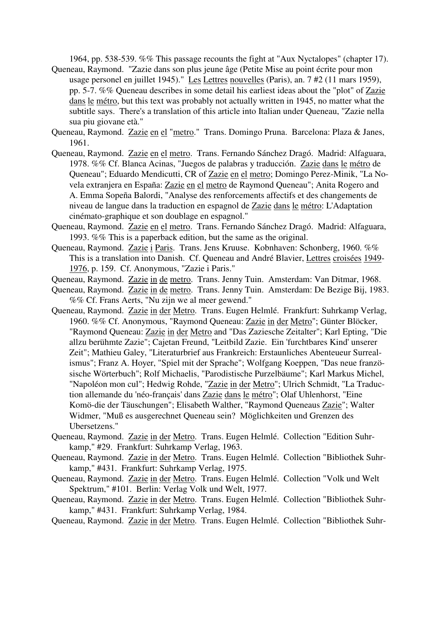1964, pp. 538-539. %% This passage recounts the fight at "Aux Nyctalopes" (chapter 17). Queneau, Raymond. "Zazie dans son plus jeune âge (Petite Mise au point écrite pour mon

- usage personel en juillet 1945)." Les Lettres nouvelles (Paris), an. 7 #2 (11 mars 1959), pp. 5-7. %% Queneau describes in some detail his earliest ideas about the "plot" of Zazie dans le métro, but this text was probably not actually written in 1945, no matter what the subtitle says. There's a translation of this article into Italian under Queneau, "Zazie nella sua piu giovane età."
- Queneau, Raymond. Zazie en el "metro." Trans. Domingo Pruna. Barcelona: Plaza & Janes, 1961.
- Queneau, Raymond. Zazie en el metro. Trans. Fernando Sánchez Dragó. Madrid: Alfaguara, 1978. %% Cf. Blanca Acinas, "Juegos de palabras y traducción. Zazie dans le métro de Queneau"; Eduardo Mendicutti, CR of Zazie en el metro; Domingo Perez-Minik, "La Novela extranjera en España: Zazie en el metro de Raymond Queneau"; Anita Rogero and A. Emma Sopeña Balordi, "Analyse des renforcements affectifs et des changements de niveau de langue dans la traduction en espagnol de Zazie dans le métro: L'Adaptation cinémato-graphique et son doublage en espagnol."
- Queneau, Raymond. Zazie en el metro. Trans. Fernando Sánchez Dragó. Madrid: Alfaguara, 1993. %% This is a paperback edition, but the same as the original.
- Queneau, Raymond. Zazie i Paris. Trans. Jens Kruuse. Kobnhaven: Schonberg, 1960. %% This is a translation into Danish. Cf. Queneau and André Blavier, Lettres croisées 1949- 1976, p. 159. Cf. Anonymous, "Zazie i Paris."
- Queneau, Raymond. Zazie in de metro. Trans. Jenny Tuin. Amsterdam: Van Ditmar, 1968.
- Queneau, Raymond. Zazie in de metro. Trans. Jenny Tuin. Amsterdam: De Bezige Bij, 1983. %% Cf. Frans Aerts, "Nu zijn we al meer gewend."
- Queneau, Raymond. Zazie in der Metro. Trans. Eugen Helmlé. Frankfurt: Suhrkamp Verlag, 1960. %% Cf. Anonymous, "Raymond Queneau: Zazie in der Metro"; Günter Blöcker, "Raymond Queneau: Zazie in der Metro and "Das Zaziesche Zeitalter"; Karl Epting, "Die allzu berühmte Zazie"; Cajetan Freund, "Leitbild Zazie. Ein 'furchtbares Kind' unserer Zeit"; Mathieu Galey, "Literaturbrief aus Frankreich: Erstaunliches Abenteueur Surrealismus"; Franz A. Hoyer, "Spiel mit der Sprache"; Wolfgang Koeppen, "Das neue französische Wörterbuch"; Rolf Michaelis, "Parodistische Purzelbäume"; Karl Markus Michel, "Napoléon mon cul"; Hedwig Rohde, "Zazie in der Metro"; Ulrich Schmidt, "La Traduction allemande du 'néo-français' dans Zazie dans le métro"; Olaf Uhlenhorst, "Eine Komö-die der Täuschungen"; Elisabeth Walther, "Raymond Queneaus Zazie"; Walter Widmer, "Muß es ausgerechnet Queneau sein? Möglichkeiten und Grenzen des Ubersetzens."
- Queneau, Raymond. Zazie in der Metro. Trans. Eugen Helmlé. Collection "Edition Suhrkamp," #29. Frankfurt: Suhrkamp Verlag, 1963.
- Queneau, Raymond. Zazie in der Metro. Trans. Eugen Helmlé. Collection "Bibliothek Suhrkamp," #431. Frankfurt: Suhrkamp Verlag, 1975.
- Queneau, Raymond. Zazie in der Metro. Trans. Eugen Helmlé. Collection "Volk und Welt Spektrum," #101. Berlin: Verlag Volk und Welt, 1977.
- Queneau, Raymond. Zazie in der Metro. Trans. Eugen Helmlé. Collection "Bibliothek Suhrkamp," #431. Frankfurt: Suhrkamp Verlag, 1984.
- Queneau, Raymond. Zazie in der Metro. Trans. Eugen Helmlé. Collection "Bibliothek Suhr-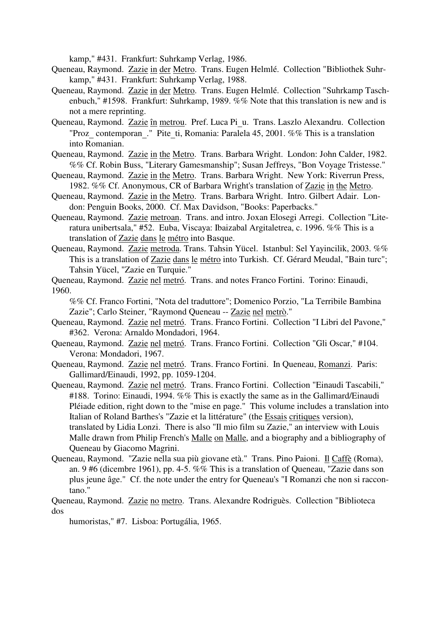kamp," #431. Frankfurt: Suhrkamp Verlag, 1986.

- Queneau, Raymond. Zazie in der Metro. Trans. Eugen Helmlé. Collection "Bibliothek Suhrkamp," #431. Frankfurt: Suhrkamp Verlag, 1988.
- Queneau, Raymond. Zazie in der Metro. Trans. Eugen Helmlé. Collection "Suhrkamp Taschenbuch," #1598. Frankfurt: Suhrkamp, 1989. %% Note that this translation is new and is not a mere reprinting.
- Queneau, Raymond. Zazie în metrou. Pref. Luca Pi\_u. Trans. Laszlo Alexandru. Collection "Proz\_ contemporan\_." Pite\_ti, Romania: Paralela 45, 2001. %% This is a translation into Romanian.
- Queneau, Raymond. Zazie in the Metro. Trans. Barbara Wright. London: John Calder, 1982. %% Cf. Robin Buss, "Literary Gamesmanship"; Susan Jeffreys, "Bon Voyage Tristesse."
- Queneau, Raymond. Zazie in the Metro. Trans. Barbara Wright. New York: Riverrun Press, 1982. %% Cf. Anonymous, CR of Barbara Wright's translation of Zazie in the Metro.
- Queneau, Raymond. Zazie in the Metro. Trans. Barbara Wright. Intro. Gilbert Adair. London: Penguin Books, 2000. Cf. Max Davidson, "Books: Paperbacks."
- Queneau, Raymond. Zazie metroan. Trans. and intro. Joxan Elosegi Arregi. Collection "Literatura unibertsala," #52. Euba, Viscaya: Ibaizabal Argitaletrea, c. 1996. %% This is a translation of Zazie dans le métro into Basque.
- Queneau, Raymond. Zazie metroda. Trans. Tahsin Yücel. Istanbul: Sel Yayincilik, 2003. %% This is a translation of Zazie dans le métro into Turkish. Cf. Gérard Meudal, "Bain turc"; Tahsin Yücel, "Zazie en Turquie."
- Queneau, Raymond. Zazie nel metró. Trans. and notes Franco Fortini. Torino: Einaudi, 1960.

%% Cf. Franco Fortini, "Nota del traduttore"; Domenico Porzio, "La Terribile Bambina Zazie"; Carlo Steiner, "Raymond Queneau -- Zazie nel metrò."

- Queneau, Raymond. Zazie nel metró. Trans. Franco Fortini. Collection "I Libri del Pavone," #362. Verona: Arnaldo Mondadori, 1964.
- Queneau, Raymond. Zazie nel metró. Trans. Franco Fortini. Collection "Gli Oscar," #104. Verona: Mondadori, 1967.

Queneau, Raymond. Zazie nel metró. Trans. Franco Fortini. In Queneau, Romanzi. Paris: Gallimard/Einaudi, 1992, pp. 1059-1204.

- Queneau, Raymond. Zazie nel metró. Trans. Franco Fortini. Collection "Einaudi Tascabili," #188. Torino: Einaudi, 1994. %% This is exactly the same as in the Gallimard/Einaudi Pléiade edition, right down to the "mise en page." This volume includes a translation into Italian of Roland Barthes's "Zazie et la littérature" (the Essais critiques version), translated by Lidia Lonzi. There is also "Il mio film su Zazie," an interview with Louis Malle drawn from Philip French's Malle on Malle, and a biography and a bibliography of Queneau by Giacomo Magrini.
- Queneau, Raymond. "Zazie nella sua più giovane età." Trans. Pino Paioni. Il Caffè (Roma), an. 9 #6 (dicembre 1961), pp. 4-5. %% This is a translation of Queneau, "Zazie dans son plus jeune âge." Cf. the note under the entry for Queneau's "I Romanzi che non si raccontano."
- Queneau, Raymond. Zazie no metro. Trans. Alexandre Rodriguès. Collection "Biblioteca dos

humoristas," #7. Lisboa: Portugália, 1965.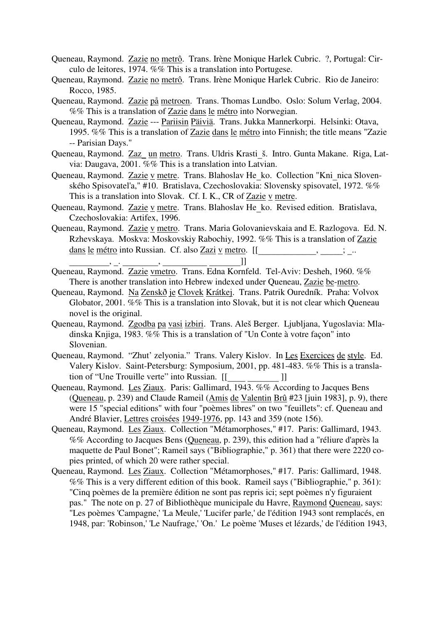- Queneau, Raymond. Zazie no metrô. Trans. Irène Monique Harlek Cubric. ?, Portugal: Circulo de leitores, 1974. %% This is a translation into Portugese.
- Queneau, Raymond. Zazie no metrô. Trans. Irène Monique Harlek Cubric. Rio de Janeiro: Rocco, 1985.
- Queneau, Raymond. Zazie på metroen. Trans. Thomas Lundbo. Oslo: Solum Verlag, 2004. %% This is a translation of Zazie dans le métro into Norwegian.
- Queneau, Raymond. Zazie --- Pariisin Päiviä. Trans. Jukka Mannerkorpi. Helsinki: Otava, 1995. %% This is a translation of Zazie dans le métro into Finnish; the title means "Zazie -- Parisian Days."
- Queneau, Raymond. Zaz\_ un metro. Trans. Uldris Krasti\_š. Intro. Gunta Makane. Riga, Latvia: Daugava, 2001. %% This is a translation into Latvian.
- Queneau, Raymond. Zazie v metre. Trans. Blahoslav He\_ko. Collection "Kni\_nica Slovenského Spisovatel'a," #10. Bratislava, Czechoslovakia: Slovensky spisovatel, 1972. %% This is a translation into Slovak. Cf. I. K., CR of Zazie v metre.
- Queneau, Raymond. Zazie v metre. Trans. Blahoslav He\_ko. Revised edition. Bratislava, Czechoslovakia: Artifex, 1996.
- Queneau, Raymond. Zazie v metro. Trans. Maria Golovanievskaia and E. Razlogova. Ed. N. Rzhevskaya. Moskva: Moskovskiy Rabochiy, 1992. %% This is a translation of Zazie <u>dans le métro</u> into Russian. Cf. also <u>Zazi v metro</u>.  $[[$  \_\_\_\_\_\_\_\_\_\_\_\_\_\_\_\_\_\_\_\_\_\_\_\_; \_..
- Queneau, Raymond. Zazie vmetro. Trans. Edna Kornfeld. Tel-Aviv: Desheh, 1960. %% There is another translation into Hebrew indexed under Queneau, Zazie be-metro.
- Queneau, Raymond. Na Zenskð je Clovek Krátkej. Trans. Patrik Ouredník. Praha: Volvox Globator, 2001. %% This is a translation into Slovak, but it is not clear which Queneau novel is the original.
- Queneau, Raymond. Zgodba pa vasi izbiri. Trans. Aleš Berger. Ljubljana, Yugoslavia: Mladinska Knjiga, 1983. %% This is a translation of "Un Conte à votre façon" into Slovenian.
- Queneau, Raymond. "Zhut' zelyonia." Trans. Valery Kislov. In Les Exercices de style. Ed. Valery Kislov. Saint-Petersburg: Symposium, 2001, pp. 481-483. %% This is a transla-
- tion of "Une Trouille verte" into Russian. [[\_\_\_\_\_\_\_\_\_\_\_\_\_\_\_\_]]<br>Queneau, Raymond. <u>Les Ziaux</u>. Paris: Gallimard, 1943. %% According to Jacques Bens (Queneau, p. 239) and Claude Rameil (Amis de Valentin Brû #23 [juin 1983], p. 9), there were 15 "special editions" with four "poèmes libres" on two "feuillets": cf. Queneau and André Blavier, Lettres croisées 1949-1976, pp. 143 and 359 (note 156).
- Queneau, Raymond. Les Ziaux. Collection "Métamorphoses," #17. Paris: Gallimard, 1943. %% According to Jacques Bens (Queneau, p. 239), this edition had a "réliure d'après la maquette de Paul Bonet"; Rameil says ("Bibliographie," p. 361) that there were 2220 copies printed, of which 20 were rather special.
- Queneau, Raymond. Les Ziaux. Collection "Métamorphoses," #17. Paris: Gallimard, 1948. %% This is a very different edition of this book. Rameil says ("Bibliographie," p. 361): "Cinq poèmes de la première édition ne sont pas repris ici; sept poèmes n'y figuraient pas." The note on p. 27 of Bibliothèque municipale du Havre, Raymond Queneau, says: "Les poèmes 'Campagne,' 'La Meule,' 'Lucifer parle,' de l'édition 1943 sont remplacés, en 1948, par: 'Robinson,' 'Le Naufrage,' 'On.' Le poème 'Muses et lézards,' de l'édition 1943,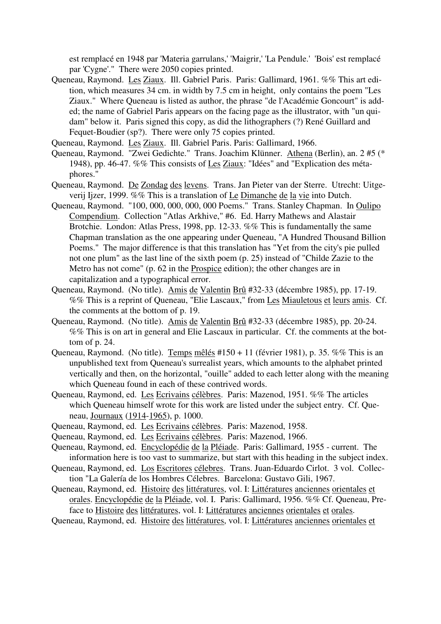est remplacé en 1948 par 'Materia garrulans,' 'Maigrir,' 'La Pendule.' 'Bois' est remplacé par 'Cygne'." There were 2050 copies printed.

- Queneau, Raymond. Les Ziaux. Ill. Gabriel Paris. Paris: Gallimard, 1961. %% This art edition, which measures 34 cm. in width by 7.5 cm in height, only contains the poem "Les Ziaux." Where Queneau is listed as author, the phrase "de l'Académie Goncourt" is added; the name of Gabriel Paris appears on the facing page as the illustrator, with "un quidam" below it. Paris signed this copy, as did the lithographers (?) René Guillard and Fequet-Boudier (sp?). There were only 75 copies printed.
- Queneau, Raymond. Les Ziaux. Ill. Gabriel Paris. Paris: Gallimard, 1966.
- Queneau, Raymond. "Zwei Gedichte." Trans. Joachim Klünner. Athena (Berlin), an. 2 #5 (\* 1948), pp. 46-47. %% This consists of Les Ziaux: "Idées" and "Explication des métaphores."
- Queneau, Raymond. De Zondag des levens. Trans. Jan Pieter van der Sterre. Utrecht: Uitgeverij Ijzer, 1999. %% This is a translation of Le Dimanche de la vie into Dutch.
- Queneau, Raymond. "100, 000, 000, 000, 000 Poems." Trans. Stanley Chapman. In Oulipo Compendium. Collection "Atlas Arkhive," #6. Ed. Harry Mathews and Alastair Brotchie. London: Atlas Press, 1998, pp. 12-33. %% This is fundamentally the same Chapman translation as the one appearing under Queneau, "A Hundred Thousand Billion Poems." The major difference is that this translation has "Yet from the city's pie pulled not one plum" as the last line of the sixth poem (p. 25) instead of "Childe Zazie to the Metro has not come" (p. 62 in the Prospice edition); the other changes are in capitalization and a typographical error.
- Queneau, Raymond. (No title). Amis de Valentin Brû #32-33 (décembre 1985), pp. 17-19. %% This is a reprint of Queneau, "Elie Lascaux," from Les Miauletous et leurs amis. Cf. the comments at the bottom of p. 19.
- Queneau, Raymond. (No title). Amis de Valentin Brû #32-33 (décembre 1985), pp. 20-24. %% This is on art in general and Elie Lascaux in particular. Cf. the comments at the bottom of p. 24.
- Queneau, Raymond. (No title). Temps mêlés #150 + 11 (février 1981), p. 35. %% This is an unpublished text from Queneau's surrealist years, which amounts to the alphabet printed vertically and then, on the horizontal, "ouille" added to each letter along with the meaning which Queneau found in each of these contrived words.
- Queneau, Raymond, ed. Les Ecrivains célèbres. Paris: Mazenod, 1951. %% The articles which Queneau himself wrote for this work are listed under the subject entry. Cf. Queneau, Journaux (1914-1965), p. 1000.
- Queneau, Raymond, ed. Les Ecrivains célèbres. Paris: Mazenod, 1958.
- Queneau, Raymond, ed. Les Ecrivains célèbres. Paris: Mazenod, 1966.
- Queneau, Raymond, ed. Encyclopédie de la Pléiade. Paris: Gallimard, 1955 current. The information here is too vast to summarize, but start with this heading in the subject index.
- Queneau, Raymond, ed. Los Escritores célebres. Trans. Juan-Eduardo Cirlot. 3 vol. Collection "La Galería de los Hombres Célebres. Barcelona: Gustavo Gili, 1967.
- Queneau, Raymond, ed. Histoire des littératures, vol. I: Littératures anciennes orientales et orales. Encyclopédie de la Pléiade, vol. I. Paris: Gallimard, 1956. %% Cf. Queneau, Preface to Histoire des littératures, vol. I: Littératures anciennes orientales et orales.
- Queneau, Raymond, ed. Histoire des littératures, vol. I: Littératures anciennes orientales et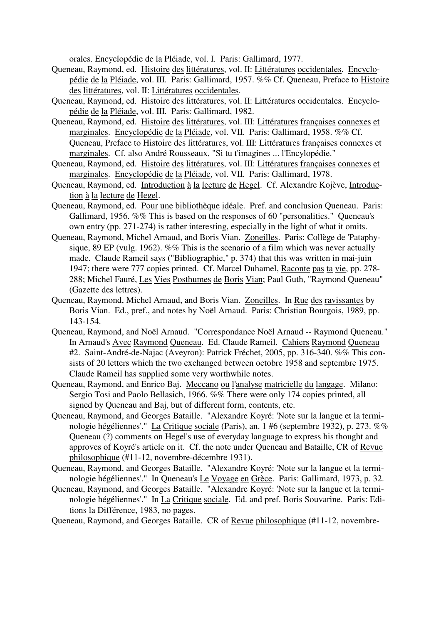orales. Encyclopédie de la Pléiade, vol. I. Paris: Gallimard, 1977.

- Queneau, Raymond, ed. Histoire des littératures, vol. II: Littératures occidentales. Encyclopédie de la Pléiade, vol. III. Paris: Gallimard, 1957. %% Cf. Queneau, Preface to Histoire des littératures, vol. II: Littératures occidentales.
- Queneau, Raymond, ed. Histoire des littératures, vol. II: Littératures occidentales. Encyclopédie de la Pléiade, vol. III. Paris: Gallimard, 1982.
- Queneau, Raymond, ed. Histoire des littératures, vol. III: Littératures françaises connexes et marginales. Encyclopédie de la Pléiade, vol. VII. Paris: Gallimard, 1958. %% Cf. Queneau, Preface to Histoire des littératures, vol. III: Littératures françaises connexes et marginales. Cf. also André Rousseaux, "Si tu t'imagines ... l'Encylopédie."
- Queneau, Raymond, ed. Histoire des littératures, vol. III: Littératures françaises connexes et marginales. Encyclopédie de la Pléiade, vol. VII. Paris: Gallimard, 1978.
- Queneau, Raymond, ed. Introduction à la lecture de Hegel. Cf. Alexandre Kojève, Introduction à la lecture de Hegel.
- Queneau, Raymond, ed. Pour une bibliothèque idéale. Pref. and conclusion Queneau. Paris: Gallimard, 1956. %% This is based on the responses of 60 "personalities." Queneau's own entry (pp. 271-274) is rather interesting, especially in the light of what it omits.
- Queneau, Raymond, Michel Arnaud, and Boris Vian. Zoneilles. Paris: Collège de 'Pataphysique, 89 EP (vulg. 1962). %% This is the scenario of a film which was never actually made. Claude Rameil says ("Bibliographie," p. 374) that this was written in mai-juin 1947; there were 777 copies printed. Cf. Marcel Duhamel, Raconte pas ta vie, pp. 278- 288; Michel Fauré, Les Vies Posthumes de Boris Vian; Paul Guth, "Raymond Queneau" (Gazette des lettres).
- Queneau, Raymond, Michel Arnaud, and Boris Vian. Zoneilles. In Rue des ravissantes by Boris Vian. Ed., pref., and notes by Noël Arnaud. Paris: Christian Bourgois, 1989, pp. 143-154.
- Queneau, Raymond, and Noël Arnaud. "Correspondance Noël Arnaud -- Raymond Queneau." In Arnaud's Avec Raymond Queneau. Ed. Claude Rameil. Cahiers Raymond Queneau #2. Saint-André-de-Najac (Aveyron): Patrick Fréchet, 2005, pp. 316-340. %% This consists of 20 letters which the two exchanged between octobre 1958 and septembre 1975. Claude Rameil has supplied some very worthwhile notes.
- Queneau, Raymond, and Enrico Baj. Meccano ou l'analyse matricielle du langage. Milano: Sergio Tosi and Paolo Bellasich, 1966. %% There were only 174 copies printed, all signed by Queneau and Baj, but of different form, contents, etc.
- Queneau, Raymond, and Georges Bataille. "Alexandre Koyré: 'Note sur la langue et la terminologie hégéliennes'." La Critique sociale (Paris), an. 1 #6 (septembre 1932), p. 273. %% Queneau (?) comments on Hegel's use of everyday language to express his thought and approves of Koyré's article on it. Cf. the note under Queneau and Bataille, CR of Revue philosophique (#11-12, novembre-décembre 1931).
- Queneau, Raymond, and Georges Bataille. "Alexandre Koyré: 'Note sur la langue et la terminologie hégéliennes'." In Queneau's Le Voyage en Grèce. Paris: Gallimard, 1973, p. 32.
- Queneau, Raymond, and Georges Bataille. "Alexandre Koyré: 'Note sur la langue et la terminologie hégéliennes'." In La Critique sociale. Ed. and pref. Boris Souvarine. Paris: Editions la Différence, 1983, no pages.

Queneau, Raymond, and Georges Bataille. CR of Revue philosophique (#11-12, novembre-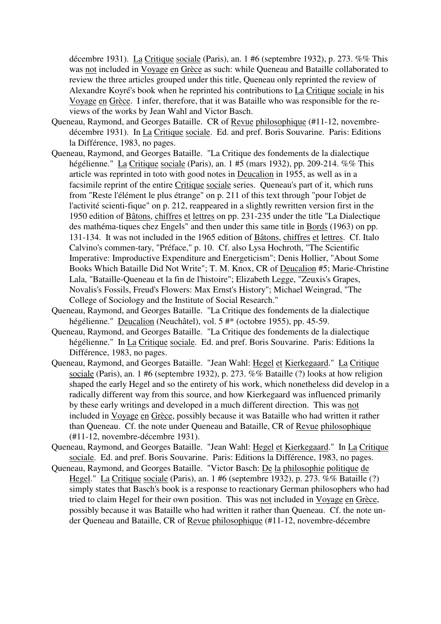décembre 1931). La Critique sociale (Paris), an. 1 #6 (septembre 1932), p. 273. %% This was not included in Voyage en Grèce as such: while Queneau and Bataille collaborated to review the three articles grouped under this title, Queneau only reprinted the review of Alexandre Koyré's book when he reprinted his contributions to La Critique sociale in his Voyage en Grèce. I infer, therefore, that it was Bataille who was responsible for the reviews of the works by Jean Wahl and Victor Basch.

- Queneau, Raymond, and Georges Bataille. CR of Revue philosophique (#11-12, novembredécembre 1931). In La Critique sociale. Ed. and pref. Boris Souvarine. Paris: Editions la Différence, 1983, no pages.
- Queneau, Raymond, and Georges Bataille. "La Critique des fondements de la dialectique hégélienne." La Critique sociale (Paris), an. 1 #5 (mars 1932), pp. 209-214. %% This article was reprinted in toto with good notes in Deucalion in 1955, as well as in a facsimile reprint of the entire Critique sociale series. Queneau's part of it, which runs from "Reste l'élément le plus étrange" on p. 211 of this text through "pour l'objet de l'activité scienti-fique" on p. 212, reappeared in a slightly rewritten version first in the 1950 edition of Bâtons, chiffres et lettres on pp. 231-235 under the title "La Dialectique des mathéma-tiques chez Engels" and then under this same title in Bords (1963) on pp. 131-134. It was not included in the 1965 edition of Bâtons, chiffres et lettres. Cf. Italo Calvino's commen-tary, "Préface," p. 10. Cf. also Lysa Hochroth, "The Scientific Imperative: Improductive Expenditure and Energeticism"; Denis Hollier, "About Some Books Which Bataille Did Not Write"; T. M. Knox, CR of Deucalion #5; Marie-Christine Lala, "Bataille-Queneau et la fin de l'histoire"; Elizabeth Legge, "Zeuxis's Grapes, Novalis's Fossils, Freud's Flowers: Max Ernst's History"; Michael Weingrad, "The College of Sociology and the Institute of Social Research."
- Queneau, Raymond, and Georges Bataille. "La Critique des fondements de la dialectique hégélienne." Deucalion (Neuchâtel), vol. 5 #\* (octobre 1955), pp. 45-59.
- Queneau, Raymond, and Georges Bataille. "La Critique des fondements de la dialectique hégélienne." In La Critique sociale. Ed. and pref. Boris Souvarine. Paris: Editions la Différence, 1983, no pages.
- Queneau, Raymond, and Georges Bataille. "Jean Wahl: Hegel et Kierkegaard." La Critique sociale (Paris), an. 1 #6 (septembre 1932), p. 273. %% Bataille (?) looks at how religion shaped the early Hegel and so the entirety of his work, which nonetheless did develop in a radically different way from this source, and how Kierkegaard was influenced primarily by these early writings and developed in a much different direction. This was not included in Voyage en Grèce, possibly because it was Bataille who had written it rather than Queneau. Cf. the note under Queneau and Bataille, CR of Revue philosophique (#11-12, novembre-décembre 1931).
- Queneau, Raymond, and Georges Bataille. "Jean Wahl: Hegel et Kierkegaard." In La Critique sociale. Ed. and pref. Boris Souvarine. Paris: Editions la Différence, 1983, no pages.
- Queneau, Raymond, and Georges Bataille. "Victor Basch: De la philosophie politique de Hegel." La Critique sociale (Paris), an. 1 #6 (septembre 1932), p. 273. %% Bataille (?) simply states that Basch's book is a response to reactionary German philosophers who had tried to claim Hegel for their own position. This was not included in Voyage en Grèce, possibly because it was Bataille who had written it rather than Queneau. Cf. the note under Queneau and Bataille, CR of Revue philosophique (#11-12, novembre-décembre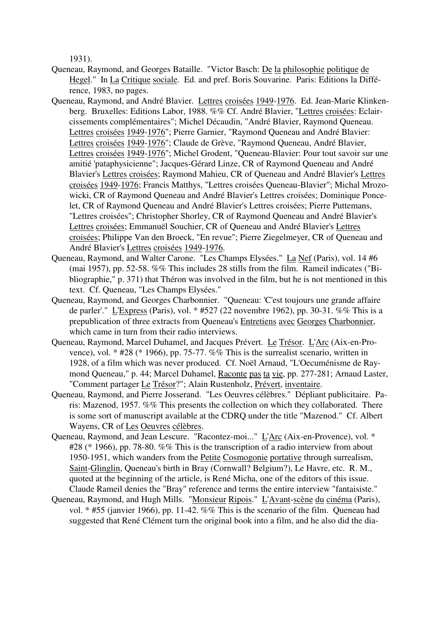1931).

- Queneau, Raymond, and Georges Bataille. "Victor Basch: De la philosophie politique de Hegel." In La Critique sociale. Ed. and pref. Boris Souvarine. Paris: Editions la Différence, 1983, no pages.
- Queneau, Raymond, and André Blavier. Lettres croisées 1949-1976. Ed. Jean-Marie Klinkenberg. Bruxelles: Editions Labor, 1988. %% Cf. André Blavier, "Lettres croisées: Eclaircissements complémentaires"; Michel Décaudin, "André Blavier, Raymond Queneau. Lettres croisées 1949-1976"; Pierre Garnier, "Raymond Queneau and André Blavier: Lettres croisées 1949-1976"; Claude de Grève, "Raymond Queneau, André Blavier, Lettres croisées 1949-1976"; Michel Grodent, "Queneau-Blavier: Pour tout savoir sur une amitié 'pataphysicienne"; Jacques-Gérard Linze, CR of Raymond Queneau and André Blavier's Lettres croisées; Raymond Mahieu, CR of Queneau and André Blavier's Lettres croisées 1949-1976; Francis Matthys, "Lettres croisées Queneau-Blavier"; Michal Mrozowicki, CR of Raymond Queneau and André Blavier's Lettres croisées; Dominique Poncelet, CR of Raymond Queneau and André Blavier's Lettres croisées; Pierre Puttemans, "Lettres croisées"; Christopher Shorley, CR of Raymond Queneau and André Blavier's Lettres croisées; Emmanuël Souchier, CR of Queneau and André Blavier's Lettres croisées; Philippe Van den Broeck, "En revue"; Pierre Ziegelmeyer, CR of Queneau and André Blavier's Lettres croisées 1949-1976.
- Queneau, Raymond, and Walter Carone. "Les Champs Elysées." La Nef (Paris), vol. 14 #6 (mai 1957), pp. 52-58. %% This includes 28 stills from the film. Rameil indicates ("Bibliographie," p. 371) that Théron was involved in the film, but he is not mentioned in this text. Cf. Queneau, "Les Champs Elysées."
- Queneau, Raymond, and Georges Charbonnier. "Queneau: 'C'est toujours une grande affaire de parler'." L'Express (Paris), vol. \* #527 (22 novembre 1962), pp. 30-31. %% This is a prepublication of three extracts from Queneau's Entretiens avec Georges Charbonnier, which came in turn from their radio interviews.
- Queneau, Raymond, Marcel Duhamel, and Jacques Prévert. Le Trésor. L'Arc (Aix-en-Provence), vol. \* #28 (\* 1966), pp. 75-77. %% This is the surrealist scenario, written in 1928, of a film which was never produced. Cf. Noël Arnaud, "L'Oecuménisme de Raymond Queneau," p. 44; Marcel Duhamel, Raconte pas ta vie, pp. 277-281; Arnaud Laster, "Comment partager Le Trésor?"; Alain Rustenholz, Prévert, inventaire.
- Queneau, Raymond, and Pierre Josserand. "Les Oeuvres célèbres." Dépliant publicitaire. Paris: Mazenod, 1957. %% This presents the collection on which they collaborated. There is some sort of manuscript available at the CDRQ under the title "Mazenod." Cf. Albert Wayens, CR of Les Oeuvres célèbres.
- Queneau, Raymond, and Jean Lescure. "Racontez-moi..." L'Arc (Aix-en-Provence), vol. \* #28 (\* 1966), pp. 78-80. %% This is the transcription of a radio interview from about 1950-1951, which wanders from the Petite Cosmogonie portative through surrealism, Saint-Glinglin, Queneau's birth in Bray (Cornwall? Belgium?), Le Havre, etc. R. M., quoted at the beginning of the article, is René Micha, one of the editors of this issue. Claude Rameil denies the "Bray" reference and terms the entire interview "fantaisiste."
- Queneau, Raymond, and Hugh Mills. "Monsieur Ripois." L'Avant-scène du cinéma (Paris), vol. \* #55 (janvier 1966), pp. 11-42. %% This is the scenario of the film. Queneau had suggested that René Clément turn the original book into a film, and he also did the dia-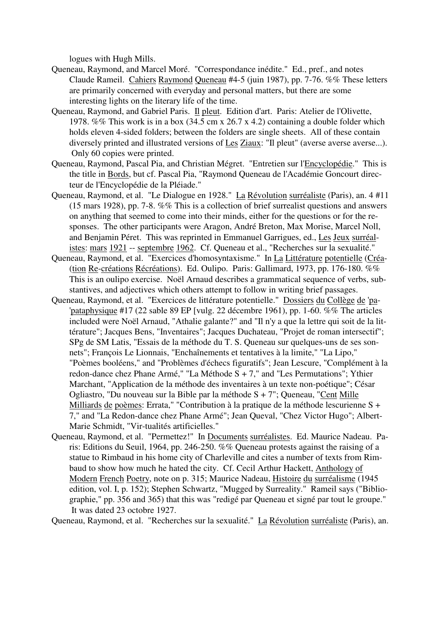logues with Hugh Mills.

- Queneau, Raymond, and Marcel Moré. "Correspondance inédite." Ed., pref., and notes Claude Rameil. Cahiers Raymond Queneau #4-5 (juin 1987), pp. 7-76. %% These letters are primarily concerned with everyday and personal matters, but there are some interesting lights on the literary life of the time.
- Queneau, Raymond, and Gabriel Paris. Il pleut. Edition d'art. Paris: Atelier de l'Olivette, 1978. %% This work is in a box (34.5 cm x 26.7 x 4.2) containing a double folder which holds eleven 4-sided folders; between the folders are single sheets. All of these contain diversely printed and illustrated versions of Les Ziaux: "Il pleut" (averse averse averse...). Only 60 copies were printed.
- Queneau, Raymond, Pascal Pia, and Christian Mégret. "Entretien sur l'Encyclopédie." This is the title in Bords, but cf. Pascal Pia, "Raymond Queneau de l'Académie Goncourt directeur de l'Encyclopédie de la Pléiade."
- Queneau, Raymond, et al. "Le Dialogue en 1928." La Révolution surréaliste (Paris), an. 4 #11 (15 mars 1928), pp. 7-8. %% This is a collection of brief surrealist questions and answers on anything that seemed to come into their minds, either for the questions or for the responses. The other participants were Aragon, André Breton, Max Morise, Marcel Noll, and Benjamin Péret. This was reprinted in Emmanuel Garrigues, ed., Les Jeux surréalistes: mars 1921 -- septembre 1962. Cf. Queneau et al., "Recherches sur la sexualité."
- Queneau, Raymond, et al. "Exercices d'homosyntaxisme." In La Littérature potentielle (Créa- (tion Re-créations Récréations). Ed. Oulipo. Paris: Gallimard, 1973, pp. 176-180. %% This is an oulipo exercise. Noël Arnaud describes a grammatical sequence of verbs, substantives, and adjectives which others attempt to follow in writing brief passages.
- Queneau, Raymond, et al. "Exercices de littérature potentielle." Dossiers du Collège de 'pa- 'pataphysique #17 (22 sable 89 EP [vulg. 22 décembre 1961), pp. 1-60. %% The articles included were Noël Arnaud, "Athalie galante?" and "Il n'y a que la lettre qui soit de la littérature"; Jacques Bens, "Inventaires"; Jacques Duchateau, "Projet de roman intersectif"; SPg de SM Latis, "Essais de la méthode du T. S. Queneau sur quelques-uns de ses sonnets"; François Le Lionnais, "Enchaînements et tentatives à la limite," "La Lipo," "Poèmes booléens," and "Problèmes d'échecs figuratifs"; Jean Lescure, "Complément à la redon-dance chez Phane Armé," "La Méthode S + 7," and "Les Permutations"; Ythier Marchant, "Application de la méthode des inventaires à un texte non-poétique"; César Ogliastro, "Du nouveau sur la Bible par la méthode S + 7"; Queneau, "Cent Mille Milliards de poèmes: Errata," "Contribution à la pratique de la méthode lescurienne S + 7," and "La Redon-dance chez Phane Armé"; Jean Queval, "Chez Victor Hugo"; Albert-Marie Schmidt, "Vir-tualités artificielles."
- Queneau, Raymond, et al. "Permettez!" In Documents surréalistes. Ed. Maurice Nadeau. Paris: Editions du Seuil, 1964, pp. 246-250. %% Queneau protests against the raising of a statue to Rimbaud in his home city of Charleville and cites a number of texts from Rimbaud to show how much he hated the city. Cf. Cecil Arthur Hackett, Anthology of Modern French Poetry, note on p. 315; Maurice Nadeau, Histoire du surréalisme (1945 edition, vol. I, p. 152); Stephen Schwartz, "Mugged by Surreality." Rameil says ("Bibliographie," pp. 356 and 365) that this was "redigé par Queneau et signé par tout le groupe." It was dated 23 octobre 1927.

Queneau, Raymond, et al. "Recherches sur la sexualité." La Révolution surréaliste (Paris), an.